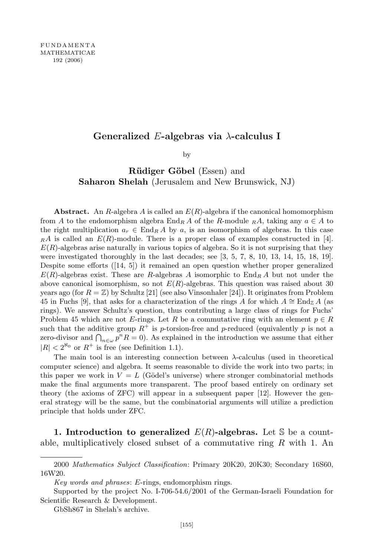# Generalized E-algebras via  $\lambda$ -calculus I

by

Rüdiger Göbel (Essen) and Saharon Shelah (Jerusalem and New Brunswick, NJ)

Abstract. An R-algebra A is called an  $E(R)$ -algebra if the canonical homomorphism from A to the endomorphism algebra  $\text{End}_{R} A$  of the R-module  $_R A$ , taking any  $a \in A$  to the right multiplication  $a_r \in \text{End}_R A$  by a, is an isomorphism of algebras. In this case  $_R A$  is called an  $E(R)$ -module. There is a proper class of examples constructed in [4].  $E(R)$ -algebras arise naturally in various topics of algebra. So it is not surprising that they were investigated thoroughly in the last decades; see [3, 5, 7, 8, 10, 13, 14, 15, 18, 19]. Despite some efforts ([14, 5]) it remained an open question whether proper generalized  $E(R)$ -algebras exist. These are R-algebras A isomorphic to  $\text{End}_{R} A$  but not under the above canonical isomorphism, so not  $E(R)$ -algebras. This question was raised about 30 years ago (for  $R = \mathbb{Z}$ ) by Schultz [21] (see also Vinsonhaler [24]). It originates from Problem 45 in Fuchs [9], that asks for a characterization of the rings A for which  $A \cong \text{End}_{\mathbb{Z}} A$  (as rings). We answer Schultz's question, thus contributing a large class of rings for Fuchs' Problem 45 which are not E-rings. Let R be a commutative ring with an element  $p \in R$ such that the additive group  $R^+$  is p-torsion-free and p-reduced (equivalently p is not a zero-divisor and  $\bigcap_{n\in\omega}p^nR=0$ ). As explained in the introduction we assume that either  $|R| < 2^{\aleph_0}$  or  $R^+$  is free (see Definition 1.1).

The main tool is an interesting connection between λ-calculus (used in theoretical computer science) and algebra. It seems reasonable to divide the work into two parts; in this paper we work in  $V = L$  (Gödel's universe) where stronger combinatorial methods make the final arguments more transparent. The proof based entirely on ordinary set theory (the axioms of ZFC) will appear in a subsequent paper [12]. However the general strategy will be the same, but the combinatorial arguments will utilize a prediction principle that holds under ZFC.

1. Introduction to generalized  $E(R)$ -algebras. Let S be a countable, multiplicatively closed subset of a commutative ring  $R$  with 1. An

<sup>2000</sup> Mathematics Subject Classification: Primary 20K20, 20K30; Secondary 16S60, 16W20.

Key words and phrases: E-rings, endomorphism rings.

Supported by the project No. I-706-54.6/2001 of the German-Israeli Foundation for Scientific Research & Development.

GbSh867 in Shelah's archive.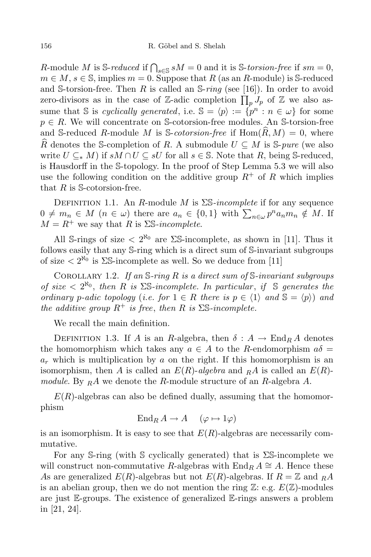R-module M is S-reduced if  $\bigcap_{s\in\mathbb{S}} sM = 0$  and it is S-torsion-free if sm = 0,  $m \in M$ ,  $s \in \mathbb{S}$ , implies  $m = 0$ . Suppose that R (as an R-module) is S-reduced and S-torsion-free. Then R is called an S- $ring$  (see [16]). In order to avoid zero-divisors as in the case of Z-adic completion  $\prod_{p} J_p$  of Z we also assume that S is *cyclically generated*, i.e.  $\mathbb{S} = \langle p \rangle := \{p^n : n \in \omega\}$  for some  $p \in R$ . We will concentrate on S-cotorsion-free modules. An S-torsion-free and S-reduced R-module M is S-cotorsion-free if  $\text{Hom}(R, M) = 0$ , where R denotes the S-completion of R. A submodule  $U \subseteq M$  is S-pure (we also write  $U \subseteq_{\ast} M$ ) if  $sM \cap U \subseteq sU$  for all  $s \in \mathbb{S}$ . Note that R, being S-reduced, is Hausdorff in the S-topology. In the proof of Step Lemma 5.3 we will also use the following condition on the additive group  $R^+$  of R which implies that  $R$  is S-cotorsion-free.

DEFINITION 1.1. An R-module M is  $\Sigma$ S-incomplete if for any sequence  $0 \neq m_n \in M \ (n \in \omega)$  there are  $a_n \in \{0,1\}$  with  $\sum_{n \in \omega} p^n a_n m_n \notin M$ . If  $M = R^+$  we say that R is  $\Sigma$ S-incomplete.

All S-rings of size  $\langle 2^{N_0} \rangle$  are  $\Sigma$ S-incomplete, as shown in [11]. Thus it follows easily that any S-ring which is a direct sum of S-invariant subgroups of size  $\langle 2^{\aleph_0} \rangle$  is  $\Sigma$ S-incomplete as well. So we deduce from [11]

COROLLARY 1.2. If an  $\mathcal S\text{-}ring R$  is a direct sum of  $\mathcal S\text{-}invariant subgroups$ of size  $\langle 2^{\aleph_0} \rangle$ , then R is  $\Sigma$ S-incomplete. In particular, if S generates the ordinary p-adic topology (i.e. for  $1 \in R$  there is  $p \in \langle 1 \rangle$  and  $\mathbb{S} = \langle p \rangle$ ) and the additive group  $R^+$  is free, then R is  $\Sigma$ S-incomplete.

We recall the main definition.

DEFINITION 1.3. If A is an R-algebra, then  $\delta: A \to \text{End}_{R} A$  denotes the homomorphism which takes any  $a \in A$  to the R-endomorphism  $a\delta =$  $a_r$  which is multiplication by a on the right. If this homomorphism is an isomorphism, then A is called an  $E(R)$ -algebra and RA is called an  $E(R)$ module. By  $_R A$  we denote the R-module structure of an R-algebra A.

 $E(R)$ -algebras can also be defined dually, assuming that the homomorphism

 $\operatorname{End}_R A \to A \quad (\varphi \mapsto 1\varphi)$ 

is an isomorphism. It is easy to see that  $E(R)$ -algebras are necessarily commutative.

For any S-ring (with S cyclically generated) that is ΣS-incomplete we will construct non-commutative R-algebras with  $\text{End}_R A \cong A$ . Hence these As are generalized  $E(R)$ -algebras but not  $E(R)$ -algebras. If  $R = \mathbb{Z}$  and  $_R A$ is an abelian group, then we do not mention the ring  $\mathbb{Z}$ : e.g.  $E(\mathbb{Z})$ -modules are just E-groups. The existence of generalized E-rings answers a problem in [21, 24].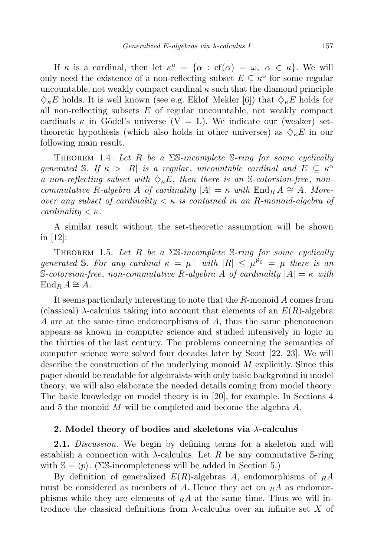If  $\kappa$  is a cardinal, then let  $\kappa^{\circ} = {\alpha : cf(\alpha) = \omega, \alpha \in \kappa}.$  We will only need the existence of a non-reflecting subset  $E \subseteq \kappa^{\text{o}}$  for some regular uncountable, not weakly compact cardinal  $\kappa$  such that the diamond principle  $\Diamond_{\kappa}E$  holds. It is well known (see e.g. Eklof–Mekler [6]) that  $\Diamond_{\kappa}E$  holds for all non-reflecting subsets  $E$  of regular uncountable, not weakly compact cardinals  $\kappa$  in Gödel's universe  $(V = L)$ . We indicate our (weaker) settheoretic hypothesis (which also holds in other universes) as  $\Diamond$ <sub>k</sub>E in our following main result.

THEOREM 1.4. Let R be a  $\Sigma$ S-incomplete S-ring for some cyclically generated S. If  $\kappa > |R|$  is a regular, uncountable cardinal and  $E \subseteq \kappa^{\circ}$ a non-reflecting subset with  $\Diamond_{\kappa}E$ , then there is an S-cotorsion-free, noncommutative R-algebra A of cardinality  $|A| = \kappa$  with  $\text{End}_R A \cong A$ . Moreover any subset of cardinality  $\lt \kappa$  is contained in an R-monoid-algebra of cardinality  $\lt \kappa$ .

A similar result without the set-theoretic assumption will be shown in [12]:

THEOREM 1.5. Let R be a  $\Sigma$ S-incomplete S-ring for some cyclically generated S. For any cardinal  $\kappa = \mu^+$  with  $|R| \leq \mu^{\aleph_0} = \mu$  there is an S-cotorsion-free, non-commutative R-algebra A of cardinality  $|A| = \kappa$  with  $\operatorname{End}_R A \cong A$ .

It seems particularly interesting to note that the R-monoid A comes from (classical)  $\lambda$ -calculus taking into account that elements of an  $E(R)$ -algebra A are at the same time endomorphisms of A, thus the same phenomenon appears as known in computer science and studied intensively in logic in the thirties of the last century. The problems concerning the semantics of computer science were solved four decades later by Scott [22, 23]. We will describe the construction of the underlying monoid M explicitly. Since this paper should be readable for algebraists with only basic background in model theory, we will also elaborate the needed details coming from model theory. The basic knowledge on model theory is in [20], for example. In Sections 4 and 5 the monoid M will be completed and become the algebra A.

## 2. Model theory of bodies and skeletons via  $\lambda$ -calculus

**2.1.** Discussion. We begin by defining terms for a skeleton and will establish a connection with  $\lambda$ -calculus. Let R be any commutative S-ring with  $\mathbb{S} = \langle p \rangle$ . (ΣS-incompleteness will be added in Section 5.)

By definition of generalized  $E(R)$ -algebras A, endomorphisms of  $_R A$ must be considered as members of A. Hence they act on  $_R A$  as endomorphisms while they are elements of  $_R A$  at the same time. Thus we will introduce the classical definitions from  $\lambda$ -calculus over an infinite set X of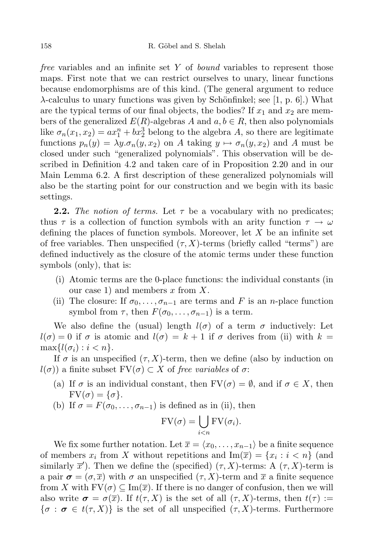free variables and an infinite set Y of bound variables to represent those maps. First note that we can restrict ourselves to unary, linear functions because endomorphisms are of this kind. (The general argument to reduce  $\lambda$ -calculus to unary functions was given by Schönfinkel; see [1, p. 6].) What are the typical terms of our final objects, the bodies? If  $x_1$  and  $x_2$  are members of the generalized  $E(R)$ -algebras A and  $a, b \in R$ , then also polynomials like  $\sigma_n(x_1, x_2) = ax_1^n + bx_2^3$  belong to the algebra A, so there are legitimate functions  $p_n(y) = \lambda y \cdot \sigma_n(y, x_2)$  on A taking  $y \mapsto \sigma_n(y, x_2)$  and A must be closed under such "generalized polynomials". This observation will be described in Definition 4.2 and taken care of in Proposition 2.20 and in our Main Lemma 6.2. A first description of these generalized polynomials will also be the starting point for our construction and we begin with its basic settings.

**2.2.** The notion of terms. Let  $\tau$  be a vocabulary with no predicates; thus  $\tau$  is a collection of function symbols with an arity function  $\tau \to \omega$ defining the places of function symbols. Moreover, let  $X$  be an infinite set of free variables. Then unspecified  $(\tau, X)$ -terms (briefly called "terms") are defined inductively as the closure of the atomic terms under these function symbols (only), that is:

- (i) Atomic terms are the 0-place functions: the individual constants (in our case 1) and members  $x$  from  $X$ .
- (ii) The closure: If  $\sigma_0, \ldots, \sigma_{n-1}$  are terms and F is an n-place function symbol from  $\tau$ , then  $F(\sigma_0, \ldots, \sigma_{n-1})$  is a term.

We also define the (usual) length  $l(\sigma)$  of a term  $\sigma$  inductively: Let  $l(\sigma) = 0$  if  $\sigma$  is atomic and  $l(\sigma) = k + 1$  if  $\sigma$  derives from (ii) with  $k =$  $\max\{l(\sigma_i): i < n\}.$ 

If  $\sigma$  is an unspecified  $(\tau, X)$ -term, then we define (also by induction on  $l(\sigma)$ ) a finite subset  $\text{FV}(\sigma) \subset X$  of free variables of  $\sigma$ :

- (a) If  $\sigma$  is an individual constant, then  $FV(\sigma) = \emptyset$ , and if  $\sigma \in X$ , then  $FV(\sigma) = {\sigma}.$
- (b) If  $\sigma = F(\sigma_0, \ldots, \sigma_{n-1})$  is defined as in (ii), then

$$
FV(\sigma) = \bigcup_{i < n} FV(\sigma_i).
$$

We fix some further notation. Let  $\overline{x} = \langle x_0, \ldots, x_{n-1} \rangle$  be a finite sequence of members  $x_i$  from X without repetitions and  $\text{Im}(\overline{x}) = \{x_i : i < n\}$  (and similarly  $\overline{x}'$ ). Then we define the (specified)  $(\tau, X)$ -terms: A  $(\tau, X)$ -term is a pair  $\sigma = (\sigma, \overline{x})$  with  $\sigma$  an unspecified  $(\tau, X)$ -term and  $\overline{x}$  a finite sequence from X with  $FV(\sigma) \subseteq Im(\overline{x})$ . If there is no danger of confusion, then we will also write  $\sigma = \sigma(\overline{x})$ . If  $t(\tau, X)$  is the set of all  $(\tau, X)$ -terms, then  $t(\tau) :=$  $\{\sigma : \sigma \in t(\tau, X)\}\$ is the set of all unspecified  $(\tau, X)$ -terms. Furthermore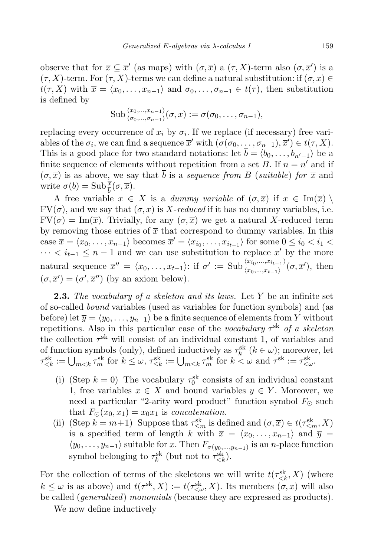observe that for  $\overline{x} \subseteq \overline{x}'$  (as maps) with  $(\sigma, \overline{x})$  a  $(\tau, X)$ -term also  $(\sigma, \overline{x}')$  is a  $(\tau, X)$ -term. For  $(\tau, X)$ -terms we can define a natural substitution: if  $(\sigma, \overline{x}) \in$  $t(\tau, X)$  with  $\overline{x} = \langle x_0, \ldots, x_{n-1} \rangle$  and  $\sigma_0, \ldots, \sigma_{n-1} \in t(\tau)$ , then substitution is defined by

$$
\mathrm{Sub}_{\langle \sigma_0,\ldots,\sigma_{n-1} \rangle}^{\langle x_0,\ldots,x_{n-1} \rangle}(\sigma,\overline{x}) := \sigma(\sigma_0,\ldots,\sigma_{n-1}),
$$

replacing every occurrence of  $x_i$  by  $\sigma_i$ . If we replace (if necessary) free variables of the  $\sigma_i$ , we can find a sequence  $\overline{x}'$  with  $(\sigma(\sigma_0, \ldots, \sigma_{n-1}), \overline{x}') \in t(\tau, X)$ . This is a good place for two standard notations: let  $\overline{b} = \langle b_0, \ldots, b_{n'-1} \rangle$  be a finite sequence of elements without repetition from a set B. If  $n = n'$  and if  $(\sigma, \overline{x})$  is as above, we say that  $\overline{b}$  is a sequence from B (suitable) for  $\overline{x}$  and write  $\sigma(\overline{b}) = \text{Sub} \frac{\overline{x}}{b}(\sigma, \overline{x}).$ 

A free variable  $x \in X$  is a dummy variable of  $(\sigma, \overline{x})$  if  $x \in \text{Im}(\overline{x})$  $FV(\sigma)$ , and we say that  $(\sigma, \overline{x})$  is X-reduced if it has no dummy variables, i.e.  $FV(\sigma) = Im(\overline{x})$ . Trivially, for any  $(\sigma, \overline{x})$  we get a natural X-reduced term by removing those entries of  $\bar{x}$  that correspond to dummy variables. In this case  $\overline{x} = \langle x_0, \ldots, x_{n-1} \rangle$  becomes  $\overline{x}' = \langle x_{i_0}, \ldots, x_{i_{t-1}} \rangle$  for some  $0 \leq i_0 < i_1 <$  $\cdots < i_{t-1} \leq n-1$  and we can use substitution to replace  $\overline{x}'$  by the more natural sequence  $\overline{x}'' = \langle x_0, \ldots, x_{t-1} \rangle$ : if  $\sigma' := {\rm Sub}_{\langle x_0, \ldots, x_{t-1} \rangle}^{\langle x_{i_0}, \ldots, x_{i_{t-1}} \rangle}$  $\langle x_0, ..., x_{t-1} \rangle'(\sigma, \overline{x}'),$  then  $(\sigma, \overline{x}') = (\sigma', \overline{x}'')$  (by an axiom below).

**2.3.** The vocabulary of a skeleton and its laws. Let Y be an infinite set of so-called bound variables (used as variables for function symbols) and (as before) let  $\overline{y} = \langle y_0, \ldots, y_{n-1} \rangle$  be a finite sequence of elements from Y without repetitions. Also in this particular case of the *vocabulary*  $\tau^{\rm sk}$  of a skeleton the collection  $\tau^{\text{sk}}$  will consist of an individual constant 1, of variables and of function symbols (only), defined inductively as  $\tau_k^{\text{sk}}$  ( $k \in \omega$ ); moreover, let  $\tau_{\leq k}^{\text{sk}} := \bigcup_{m \leq k} \tau_m^{\text{sk}}$  for  $k \leq \omega$ ,  $\tau_{\leq k}^{\text{sk}} := \bigcup_{m \leq k} \tau_m^{\text{sk}}$  for  $k < \omega$  and  $\tau^{\text{sk}} := \tau_{\leq \omega}^{\text{sk}}$ .

- (i) (Step  $k = 0$ ) The vocabulary  $\tau_0^{\text{sk}}$  consists of an individual constant 1, free variables  $x \in X$  and bound variables  $y \in Y$ . Moreover, we need a particular "2-arity word product" function symbol  $F_{\odot}$  such that  $F_{\odot}(x_0, x_1) = x_0 x_1$  is concatenation.
- (ii) (Step  $k = m+1$ ) Suppose that  $\tau_{\leq m}^{sk}$  is defined and  $(\sigma, \overline{x}) \in t(\tau_{\leq m}^{sk}, X)$ is a specified term of length k with  $\overline{x} = \langle x_0, \ldots, x_{n-1} \rangle$  and  $\overline{y} =$  $\langle y_0, \ldots, y_{n-1} \rangle$  suitable for  $\overline{x}$ . Then  $F_{\sigma(y_0, \ldots, y_{n-1})}$  is an *n*-place function symbol belonging to  $\tau_k^{\text{sk}}$  (but not to  $\tau_{\leq k}^{\text{sk}}$ ).

For the collection of terms of the skeletons we will write  $t(\tau_{\leq k}^{\text{sk}}, X)$  (where  $k \leq \omega$  is as above) and  $t(\tau^{\text{sk}}, X) := t(\tau^{s k}_{\leq \omega}, X)$ . Its members  $(\sigma, \overline{x})$  will also be called (*generalized*) monomials (because they are expressed as products).

We now define inductively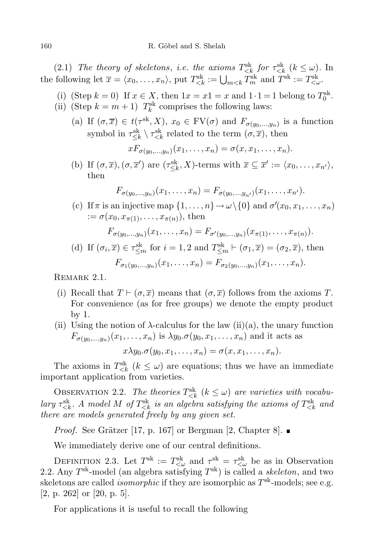(2.1) The theory of skeletons, i.e. the axioms  $T_{\leq k}^{\text{sk}}$  for  $\tau_{\leq k}^{\text{sk}}$  ( $k \leq \omega$ ). In the following let  $\overline{x} = \langle x_0, \ldots, x_n \rangle$ , put  $T_{\langle k}^{\text{sk}} := \bigcup_{m < k} T_m^{\text{sk}}$  and  $T^{\text{sk}} := T_{\langle \omega}^{\text{sk}}$ .

- (i) (Step  $k = 0$ ) If  $x \in X$ , then  $1x = x1 = x$  and  $1 \cdot 1 = 1$  belong to  $T_0^{\text{sk}}$ . (ii) (Step  $k = m + 1$ )  $T_k^{\text{sk}}$  comprises the following laws:
	- (a) If  $(\sigma, \overline{x}) \in t(\tau^{\text{sk}}, X)$ ,  $x_0 \in \text{FV}(\sigma)$  and  $F_{\sigma(y_0, \ldots, y_n)}$  is a function symbol in  $\tau_{\leq k}^{\text{sk}} \setminus \tau_{\leq k}^{\text{sk}}$  related to the term  $(\sigma, \overline{x})$ , then

$$
xF_{\sigma(y_0,\ldots,y_n)}(x_1,\ldots,x_n)=\sigma(x,x_1,\ldots,x_n).
$$

(b) If  $(\sigma, \overline{x}), (\sigma, \overline{x}')$  are  $(\tau_{\leq k}^{\rm sk}, X)$ -terms with  $\overline{x} \subseteq \overline{x}' := \langle x_0, \ldots, x_{n'} \rangle$ , then

$$
F_{\sigma(y_0,\ldots,y_n)}(x_1,\ldots,x_n)=F_{\sigma(y_0,\ldots,y_{n'})}(x_1,\ldots,x_{n'}).
$$

(c) If  $\pi$  is an injective map  $\{1, \ldots, n\} \to \omega \setminus \{0\}$  and  $\sigma'(x_0, x_1, \ldots, x_n)$  $:= \sigma(x_0, x_{\pi(1)}, \ldots, x_{\pi(n)})$ , then

$$
F_{\sigma(y_0,\ldots,y_n)}(x_1,\ldots,x_n)=F_{\sigma'(y_0,\ldots,y_n)}(x_{\pi(1)},\ldots,x_{\pi(n)}).
$$

(d) If  $(\sigma_i, \overline{x}) \in \tau_{\leq m}^{\rm sk}$  for  $i = 1, 2$  and  $T_{\leq m}^{\rm sk} \vdash (\sigma_1, \overline{x}) = (\sigma_2, \overline{x})$ , then  $F_{\sigma_1(y_0,...,y_n)}(x_1,...,x_n)=F_{\sigma_2(y_0,...,y_n)}(x_1,...,x_n).$ 

Remark 2.1.

- (i) Recall that  $T \vdash (\sigma, \overline{x})$  means that  $(\sigma, \overline{x})$  follows from the axioms T. For convenience (as for free groups) we denote the empty product by 1.
- (ii) Using the notion of  $\lambda$ -calculus for the law (ii)(a), the unary function  $F_{\sigma(y_0,...,y_n)}(x_1,...,x_n)$  is  $\lambda y_0.\sigma(y_0,x_1,...,x_n)$  and it acts as

$$
x\lambda y_0.\sigma(y_0,x_1,\ldots,x_n)=\sigma(x,x_1,\ldots,x_n).
$$

The axioms in  $T_{\langle k}^{\text{sk}}$  ( $k \leq \omega$ ) are equations; thus we have an immediate important application from varieties.

OBSERVATION 2.2. The theories  $T_{\leq k}^{\text{sk}}$   $(k \leq \omega)$  are varieties with vocabulary  $\tau_{\leq k}^{\rm sk}$ . A model M of  $T_{\leq k}^{\rm sk}$  is an algebra satisfying the axioms of  $T_{\leq k}^{\rm sk}$  and there are models generated freely by any given set.

*Proof.* See Grätzer [17, p. 167] or Bergman [2, Chapter 8].  $\blacksquare$ 

We immediately derive one of our central definitions.

DEFINITION 2.3. Let  $T^{sk} := T^{sk}_{\leq \omega}$  and  $\tau^{sk} = \tau^{sk}_{\leq \omega}$  be as in Observation 2.2. Any  $T^{\text{sk}}$ -model (an algebra satisfying  $T^{\text{sk}}$ ) is called a *skeleton*, and two skeletons are called *isomorphic* if they are isomorphic as  $T^{\text{sk}}$ -models; see e.g. [2, p. 262] or [20, p. 5].

For applications it is useful to recall the following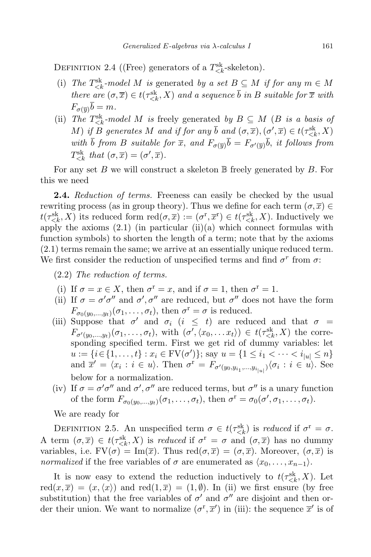DEFINITION 2.4 ((Free) generators of a  $T_{\leq k}^{\text{sk}}$ -skeleton).

- (i) The  $T_{\leq k}^{\text{sk}}$ -model M is generated by a set  $B \subseteq M$  if for any  $m \in M$ there are  $(\sigma, \overline{x}) \in t(\tau_{\leq k}^{\leq k}, X)$  and a sequence  $\overline{b}$  in B suitable for  $\overline{x}$  with  $F_{\sigma(\overline{u})}\overline{b} = m.$
- (ii) The  $T_{\leq k}^{\leq k}$ -model M is freely generated by  $B \subseteq M$  (B is a basis of M) if B generates M and if for any  $\overline{b}$  and  $(\sigma,\overline{x}),(\sigma',\overline{x}) \in t(\tau_{\leq k}^{\text{sk}}, X)$ with  $\bar{b}$  from B suitable for  $\bar{x}$ , and  $F_{\sigma(\bar{y})}\bar{b} = F_{\sigma'(\bar{y})}\bar{b}$ , it follows from  $T_{\leq k}^{\text{sk}}$  that  $(\sigma,\overline{x}) = (\sigma',\overline{x})$ .

For any set B we will construct a skeleton  $\mathbb B$  freely generated by B. For this we need

**2.4.** Reduction of terms. Freeness can easily be checked by the usual rewriting process (as in group theory). Thus we define for each term  $(\sigma, \overline{x}) \in$  $t(\tau_{\leq k}^{\leq k}, X)$  its reduced form  $\text{red}(\sigma, \overline{x}) := (\sigma^{\text{r}}, \overline{x}^{\text{r}}) \in t(\tau_{\leq k}^{\leq k}, X)$ . Inductively we apply the axioms  $(2.1)$  (in particular  $(ii)(a)$  which connect formulas with function symbols) to shorten the length of a term; note that by the axioms (2.1) terms remain the same; we arrive at an essentially unique reduced term. We first consider the reduction of unspecified terms and find  $\sigma^r$  from  $\sigma$ :

- (2.2) The reduction of terms.
- (i) If  $\sigma = x \in X$ , then  $\sigma^r = x$ , and if  $\sigma = 1$ , then  $\sigma^r = 1$ .
- (ii) If  $\sigma = \sigma' \sigma''$  and  $\sigma', \sigma''$  are reduced, but  $\sigma''$  does not have the form  $F_{\sigma_0(y_0,\ldots,y_t)}(\sigma_1,\ldots,\sigma_t)$ , then  $\sigma^r = \sigma$  is reduced.
- (iii) Suppose that  $\sigma'$  and  $\sigma_i$  ( $i \leq t$ ) are reduced and that  $\sigma =$  $F_{\sigma'(y_0,\dots,y_t)}(\sigma_1,\dots,\sigma_t)$ , with  $(\sigma',\langle x_0,\dots x_t\rangle) \in t(\tau_{\langle k,\cdot}^{\text{sk}},X)$  the corresponding specified term. First we get rid of dummy variables: let  $u := \{i \in \{1, ..., t\} : x_i \in \text{FV}(\sigma')\};$  say  $u = \{1 \le i_1 < \cdots < i_{|u|} \le n\}$ and  $\overline{x}' = \langle x_i : i \in u \rangle$ . Then  $\sigma^{\text{r}} = F_{\sigma'(y_0, y_{i_1}, \dots, y_{i_{|u|}})} \langle \sigma_i : i \in u \rangle$ . See below for a normalization.
- (iv) If  $\sigma = \sigma' \sigma''$  and  $\sigma', \sigma''$  are reduced terms, but  $\sigma''$  is a unary function of the form  $F_{\sigma_0(y_0,\ldots,y_t)}(\sigma_1,\ldots,\sigma_t)$ , then  $\sigma^r = \sigma_0(\sigma',\sigma_1,\ldots,\sigma_t)$ .

We are ready for

DEFINITION 2.5. An unspecified term  $\sigma \in t(\tau_{\leq k}^{\text{sk}})$  is reduced if  $\sigma^{\text{r}} = \sigma$ . A term  $(\sigma, \overline{x}) \in t(\tau_{\leq k}^{\leq k}, X)$  is reduced if  $\sigma^r = \sigma$  and  $(\sigma, \overline{x})$  has no dummy variables, i.e.  $FV(\sigma) = Im(\overline{x})$ . Thus  $red(\sigma, \overline{x}) = (\sigma, \overline{x})$ . Moreover,  $(\sigma, \overline{x})$  is normalized if the free variables of  $\sigma$  are enumerated as  $\langle x_0, \ldots, x_{n-1} \rangle$ .

It is now easy to extend the reduction inductively to  $t(\tau_{\leq k}^{\leq k}, X)$ . Let  $\text{red}(x,\overline{x}) = (x,\langle x \rangle)$  and  $\text{red}(1,\overline{x}) = (1,\emptyset)$ . In (ii) we first ensure (by free substitution) that the free variables of  $\sigma'$  and  $\sigma''$  are disjoint and then order their union. We want to normalize  $(\sigma^r, \overline{x}')$  in (iii): the sequence  $\overline{x}'$  is of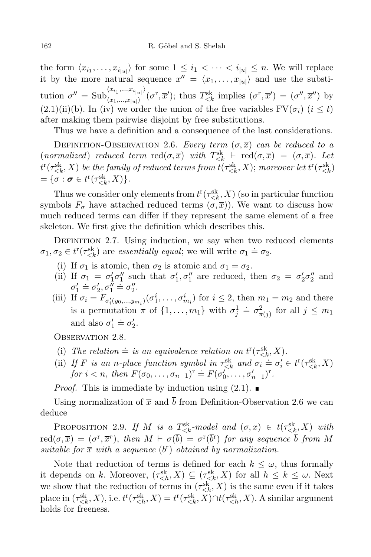the form  $\langle x_{i_1}, \ldots, x_{i_{|u|}} \rangle$  for some  $1 \leq i_1 < \cdots < i_{|u|} \leq n$ . We will replace it by the more natural sequence  $\overline{x}'' = \langle x_1, \ldots, x_{|u|} \rangle$  and use the substitution  $\sigma'' = {\rm Sub}_{(r_1,\ldots,r_{i-1})}^{(x_{i_1},\ldots,x_{i_{|u|}})}$  $\lim_{(x_1,...,x_{|u|})'} (\sigma^{\rm r}, \overline{x}');$  thus  $T_{\leq k}^{\rm sk}$  implies  $(\sigma^{\rm r}, \overline{x}') = (\sigma'', \overline{x}'')$  by  $(2.1)(ii)(b)$ . In (iv) we order the union of the free variables  $\text{FV}(\sigma_i)$  ( $i \leq t$ ) after making them pairwise disjoint by free substitutions.

Thus we have a definition and a consequence of the last considerations.

DEFINITION-OBSERVATION 2.6. Every term  $(\sigma, \overline{x})$  can be reduced to a (normalized) reduced term  $\text{red}(\sigma,\overline{x})$  with  $T_{\leq k}^{\text{sk}} \vdash \text{red}(\sigma,\overline{x}) = (\sigma,\overline{x})$ . Let  $t^{\mathrm{r}}(\tau_{ be the family of reduced terms from  $t(\tau_{< k}^{\mathrm{sk}},X);$  moreover let  $t^{\mathrm{r}}(\tau_{< k}^{\mathrm{sk}})$$ =  $\{\sigma : \sigma \in t^r(\tau_{\leq k}^{\text{sk}}, X)\}.$ 

Thus we consider only elements from  $t^{r}(\tau_{\leq k}^{\text{sk}}, X)$  (so in particular function symbols  $F_{\sigma}$  have attached reduced terms  $(\sigma,\overline{x})$ ). We want to discuss how much reduced terms can differ if they represent the same element of a free skeleton. We first give the definition which describes this.

DEFINITION 2.7. Using induction, we say when two reduced elements  $\sigma_1, \sigma_2 \in t^r(\tau_{\le k}^{\le k})$  are *essentially equal*; we will write  $\sigma_1 \doteq \sigma_2$ .

- (i) If  $\sigma_1$  is atomic, then  $\sigma_2$  is atomic and  $\sigma_1 = \sigma_2$ .
- (ii) If  $\sigma_1 = \sigma'_1 \sigma''_1$  such that  $\sigma'_1, \sigma''_1$  are reduced, then  $\sigma_2 = \sigma'_2 \sigma''_2$  and  $\sigma'_1 \doteq \sigma'_2, \sigma''_1 \doteq \sigma''_2.$
- (iii) If  $\sigma_i = F_{\sigma'_i(y_0,\dots,y_{m_i})}(\sigma_1^i,\dots,\sigma_{m_i}^i)$  for  $i \leq 2$ , then  $m_1 = m_2$  and there is a permutation  $\pi$  of  $\{1, \ldots, m_1\}$  with  $\sigma_j^1 \doteq \sigma_{\pi(j)}^2$  for all  $j \leq m_1$ and also  $\sigma'_1 \doteq \sigma'_2$ .

OBSERVATION 2.8.

- (i) The relation  $\dot{=}$  is an equivalence relation on  $t^{r}(\tau_{\leq k}^{\rm sk}, X)$ .
- (ii) If F is an n-place function symbol in  $\tau_{\leq k}^{\leq k}$  and  $\sigma_i = \sigma'_i \in t^r(\tau_{\leq k}^{\leq k}, X)$ for  $i < n$ , then  $F(\sigma_0, \ldots, \sigma_{n-1})^r \doteq F(\sigma'_0, \ldots, \sigma'_{n-1})^r$ .

*Proof.* This is immediate by induction using  $(2.1)$ .

Using normalization of  $\bar{x}$  and  $\bar{b}$  from Definition-Observation 2.6 we can deduce

PROPOSITION 2.9. If M is a  $T_{\leq k}^{\leq k}$ -model and  $(\sigma,\overline{x}) \in t(\tau_{\leq k}^{\leq k},X)$  with  $\text{red}(\sigma,\overline{x}) \,=\, (\sigma^{\text{r}},\overline{x}^{\text{r}}), \text{ then } M \,\vdash\, \sigma(\overline{b}) \,=\, \sigma^{\text{r}}(\overline{b}^{\text{r}}) \text{ for any sequence } \overline{b} \text{ from } M$ suitable for  $\bar{x}$  with a sequence  $(\bar{b}^{\text{r}})$  obtained by normalization.

Note that reduction of terms is defined for each  $k \leq \omega$ , thus formally it depends on k. Moreover,  $(\tau_{\leq h}^{\text{sk}}, X) \subseteq (\tau_{\leq k}^{\text{sk}}, X)$  for all  $h \leq k \leq \omega$ . Next we show that the reduction of terms in  $(\tau_{\leq h}^{\text{sk}}, X)$  is the same even if it takes place in  $(\tau_{\leq k}^{\text{sk}}, X)$ , i.e.  $t^r(\tau_{\leq h}^{\text{sk}}, X) = t^r(\tau_{\leq k}^{\text{sk}}, X) \cap t(\tau_{\leq h}^{\text{sk}}, X)$ . A similar argument holds for freeness.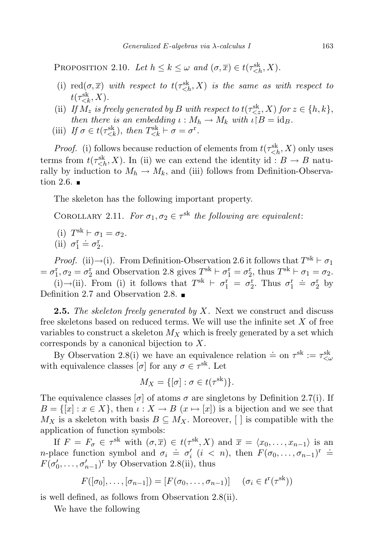PROPOSITION 2.10. Let  $h \le k \le \omega$  and  $(\sigma, \overline{x}) \in t(\tau_{\le h}^{\text{sk}}, X)$ .

- (i)  $\text{red}(\sigma,\overline{x})$  with respect to  $t(\tau_{\leq h}^{\text{sk}}, X)$  is the same as with respect to  $t(\tau_{\leq k}^{\text{sk}}, X)$ .
- (ii) If  $M_z$  is freely generated by B with respect to  $t(\tau_{ for  $z \in \{h, k\},$$ then there is an embedding  $\iota : M_h \to M_k$  with  $\iota \restriction B = \text{id}_B$ .
- (iii) If  $\sigma \in t(\tau_{\leq k}^{\preccurlyeq k}),$  then  $T_{\leq k}^{\preccurlyeq k} \vdash \sigma = \sigma^{\mathbf{r}}.$

*Proof.* (i) follows because reduction of elements from  $t(\tau_{\leq h}^{\text{sk}}, X)$  only uses terms from  $t(\tau_{\leq h}^{\text{sk}}, X)$ . In (ii) we can extend the identity id :  $B \to B$  naturally by induction to  $M_h \to M_k$ , and (iii) follows from Definition-Observation 2.6.  $\blacksquare$ 

The skeleton has the following important property.

COROLLARY 2.11. For  $\sigma_1, \sigma_2 \in \tau^{\text{sk}}$  the following are equivalent:

- (i)  $T^{sk} \vdash \sigma_1 = \sigma_2.$
- (ii)  $\sigma_1^{\text{r}} = \sigma_2^{\text{r}}$ .

*Proof.* (ii)→(i). From Definition-Observation 2.6 it follows that  $T^{\text{sk}} \vdash \sigma_1$  $= \sigma_1^{\rm r}, \sigma_2 = \sigma_2^{\rm r}$  and Observation 2.8 gives  $T^{\rm sk} \vdash \sigma_1^{\rm r} = \sigma_2^{\rm r}$ , thus  $T^{\rm sk} \vdash \sigma_1 = \sigma_2$ .

(i)→(ii). From (i) it follows that  $T^{sk} \vdash \sigma_1^{\mathsf{T}} = \sigma_2^{\mathsf{T}}$ . Thus  $\sigma_1^{\mathsf{T}} = \sigma_2^{\mathsf{T}}$  by Definition 2.7 and Observation 2.8. ■

**2.5.** The skeleton freely generated by X. Next we construct and discuss free skeletons based on reduced terms. We will use the infinite set  $X$  of free variables to construct a skeleton  $M_X$  which is freely generated by a set which corresponds by a canonical bijection to X.

By Observation 2.8(i) we have an equivalence relation  $\dot{=}$  on  $\tau^{\rm sk} := \tau_{\leq \omega}^{\rm sk}$ with equivalence classes  $[\sigma]$  for any  $\sigma \in \tau^{\text{sk}}$ . Let

$$
M_X = \{ [\sigma] : \sigma \in t(\tau^{\text{sk}}) \}.
$$

The equivalence classes  $[\sigma]$  of atoms  $\sigma$  are singletons by Definition 2.7(i). If  $B = \{ [x] : x \in X \}$ , then  $\iota : X \to B \ (x \mapsto [x])$  is a bijection and we see that  $M_X$  is a skeleton with basis  $B \subseteq M_X$ . Moreover,  $\lceil \cdot \rceil$  is compatible with the application of function symbols:

If  $F = F_{\sigma} \in \tau^{\text{sk}}$  with  $(\sigma, \overline{x}) \in t(\tau^{\text{sk}}, X)$  and  $\overline{x} = \langle x_0, \ldots, x_{n-1} \rangle$  is an  $n$ -place function symbol and  $\sigma_i \doteq \sigma'_i$  ( $i < n$ ), then  $F(\sigma_0, \ldots, \sigma_{n-1})^r \doteq$  $F(\sigma'_0, \ldots, \sigma'_{n-1})^r$  by Observation 2.8(ii), thus

$$
F([\sigma_0], \ldots, [\sigma_{n-1}]) = [F(\sigma_0, \ldots, \sigma_{n-1})] \quad (\sigma_i \in t^r(\tau^{sk}))
$$

is well defined, as follows from Observation 2.8(ii).

We have the following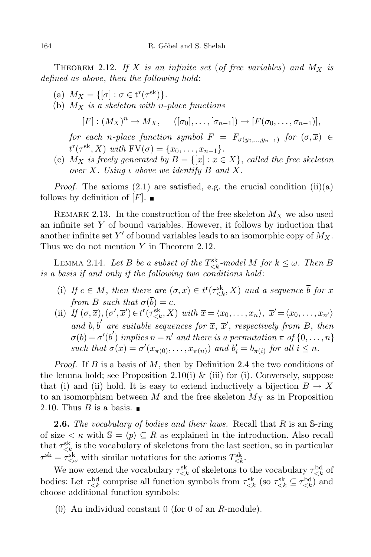THEOREM 2.12. If X is an infinite set (of free variables) and  $M_X$  is defined as above, then the following hold:

- (a)  $M_X = \{ [\sigma] : \sigma \in \mathbf{t}^r(\tau^{\mathbf{sk}}) \}.$
- (b)  $M_X$  is a skeleton with n-place functions

 $[F] : (M_X)^n \to M_X, \quad ([\sigma_0], \dots, [\sigma_{n-1}]) \mapsto [F(\sigma_0, \dots, \sigma_{n-1})],$ 

for each n-place function symbol  $F = F_{\sigma(y_0,...,y_{n-1})}$  for  $(\sigma,\overline{x}) \in$  $t^{r}(\tau^{\text{sk}}, X)$  with  $\text{FV}(\sigma) = \{x_0, \ldots, x_{n-1}\}.$ 

(c)  $M_X$  is freely generated by  $B = \{ [x] : x \in X \}$ , called the free skeleton over X. Using  $\iota$  above we identify  $B$  and X.

*Proof.* The axioms  $(2.1)$  are satisfied, e.g. the crucial condition  $(ii)(a)$ follows by definition of  $[F]$ .

REMARK 2.13. In the construction of the free skeleton  $M_X$  we also used an infinite set  $Y$  of bound variables. However, it follows by induction that another infinite set  $Y'$  of bound variables leads to an isomorphic copy of  $M_X$ . Thus we do not mention Y in Theorem 2.12.

LEMMA 2.14. Let B be a subset of the  $T_{\leq k}^{\text{sk}}$ -model M for  $k \leq \omega$ . Then B is a basis if and only if the following two conditions hold:

- (i) If  $c \in M$ , then there are  $(\sigma, \overline{x}) \in t^r(\tau_{\leq k}^{\leq k}, X)$  and a sequence  $\overline{b}$  for  $\overline{x}$ from B such that  $\sigma(b) = c$ .
- (ii) If  $(\sigma, \overline{x}), (\sigma', \overline{x}') \in t^r(\tau_{\leq k}^{sk}, X)$  with  $\overline{x} = \langle x_0, \ldots, x_n \rangle, \ \overline{x}' = \langle x_0, \ldots, x_{n'} \rangle$ and  $\overline{b}, \overline{b}'$  are suitable sequences for  $\overline{x}, \overline{x}'$ , respectively from B, then  $\sigma(\overline{b}) = \sigma'(\overline{b}')$  implies  $n = n'$  and there is a permutation  $\pi$  of  $\{0, \ldots, n\}$ such that  $\sigma(\overline{x}) = \sigma'(x_{\pi(0)}, \ldots, x_{\pi(n)})$  and  $b'_i = b_{\pi(i)}$  for all  $i \leq n$ .

*Proof.* If B is a basis of M, then by Definition 2.4 the two conditions of the lemma hold; see Proposition 2.10(i) & (iii) for (i). Conversely, suppose that (i) and (ii) hold. It is easy to extend inductively a bijection  $B \to X$ to an isomorphism between M and the free skeleton  $M_X$  as in Proposition 2.10. Thus  $B$  is a basis.  $\blacksquare$ 

**2.6.** The vocabulary of bodies and their laws. Recall that  $R$  is an  $S\text{-ring}$ of size  $\lt \kappa$  with  $\mathbb{S} = \langle p \rangle \subseteq R$  as explained in the introduction. Also recall that  $\tau_{\leq k}^{\text{sk}}$  is the vocabulary of skeletons from the last section, so in particular  $\tau^{\text{sk}} = \tau_{\leq \omega}^{\text{sk}}$  with similar notations for the axioms  $T_{\leq k}^{\text{sk}}$ .

We now extend the vocabulary  $\tau_{\leq k}^{\rm sk}$  of skeletons to the vocabulary  $\tau_{\leq k}^{\rm bd}$  of bodies: Let  $\tau_{\leq k}^{bd}$  comprise all function symbols from  $\tau_{\leq k}^{sk}$  (so  $\tau_{\leq k}^{sk} \subseteq \tau_{\leq k}^{bd}$ ) and choose additional function symbols:

(0) An individual constant 0 (for 0 of an R-module).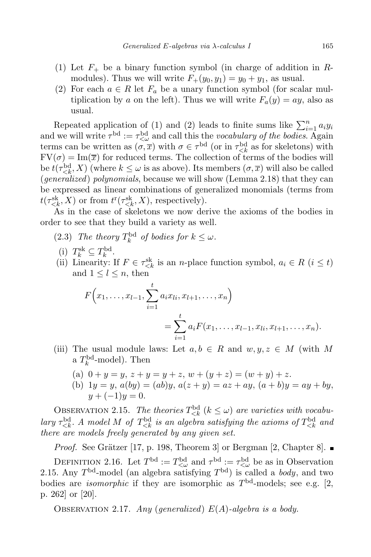- (1) Let  $F_+$  be a binary function symbol (in charge of addition in Rmodules). Thus we will write  $F_+(y_0, y_1) = y_0 + y_1$ , as usual.
- (2) For each  $a \in R$  let  $F_a$  be a unary function symbol (for scalar multiplication by a on the left). Thus we will write  $F_a(y) = ay$ , also as usual.

Repeated application of (1) and (2) leads to finite sums like  $\sum_{i=1}^{n} a_i y_i$ and we will write  $\tau^{\rm bd} := \tau^{\rm bd}_{\leq \omega}$  and call this the *vocabulary of the bodies*. Again terms can be written as  $(\sigma, \overline{x})$  with  $\sigma \in \tau^{\text{bd}}$  (or in  $\tau^{\text{bd}}_{\leq k}$  as for skeletons) with  $\mathrm{FV}(\sigma) = \mathrm{Im}(\overline{x})$  for reduced terms. The collection of terms of the bodies will be  $t(\tau_{\leq k}^{\text{bd}}, X)$  (where  $k \leq \omega$  is as above). Its members  $(\sigma, \overline{x})$  will also be called (generalized) polynomials, because we will show (Lemma 2.18) that they can be expressed as linear combinations of generalized monomials (terms from  $t(\tau_{\leq k}^{\text{sk}}, X)$  or from  $t^{r}(\tau_{\leq k}^{\text{sk}}, X)$ , respectively).

As in the case of skeletons we now derive the axioms of the bodies in order to see that they build a variety as well.

- (2.3) The theory  $T_k^{\text{bd}}$  of bodies for  $k \leq \omega$ .
- (i)  $T_k^{\text{sk}} \subseteq T_k^{\text{bd}}$ .
- (ii) Linearity: If  $F \in \tau_{\leq k}^{\text{sk}}$  is an *n*-place function symbol,  $a_i \in R$  ( $i \leq t$ ) and  $1 \leq l \leq n$ , then

$$
F(x_1,...,x_{l-1},\sum_{i=1}^t a_i x_{li}, x_{l+1},...,x_n)
$$
  
= 
$$
\sum_{i=1}^t a_i F(x_1,...,x_{l-1},x_{li},x_{l+1},...,x_n).
$$

- (iii) The usual module laws: Let  $a, b \in R$  and  $w, y, z \in M$  (with M a  $T_k^{\text{bd}}$ -model). Then
	- (a)  $0 + y = y$ ,  $z + y = y + z$ ,  $w + (y + z) = (w + y) + z$ .
	- (b)  $1y = y$ ,  $a(by) = (ab)y$ ,  $a(z + y) = az + ay$ ,  $(a + b)y = ay + by$ ,  $y + (-1)y = 0.$

OBSERVATION 2.15. The theories  $T_{\leq k}^{\text{bd}}$   $(k \leq \omega)$  are varieties with vocabulary  $\tau_{\leq k}^{\text{bd}}$ . A model M of  $T_{\leq k}^{\text{bd}}$  is an algebra satisfying the axioms of  $T_{\leq k}^{\text{bd}}$  and there are models freely generated by any given set.

*Proof.* See Grätzer [17, p. 198, Theorem 3] or Bergman [2, Chapter 8].  $\blacksquare$ 

DEFINITION 2.16. Let  $T^{\text{bd}} := T^{\text{bd}}_{\leq \omega}$  and  $\tau^{\text{bd}} := \tau^{\text{bd}}_{\leq \omega}$  be as in Observation 2.15. Any  $T<sup>bd</sup>$ -model (an algebra satisfying  $T<sup>bd</sup>$ ) is called a *body*, and two bodies are *isomorphic* if they are isomorphic as  $T<sup>bd</sup>$ -models; see e.g. [2, p. 262] or [20].

OBSERVATION 2.17. Any (generalized)  $E(A)$ -algebra is a body.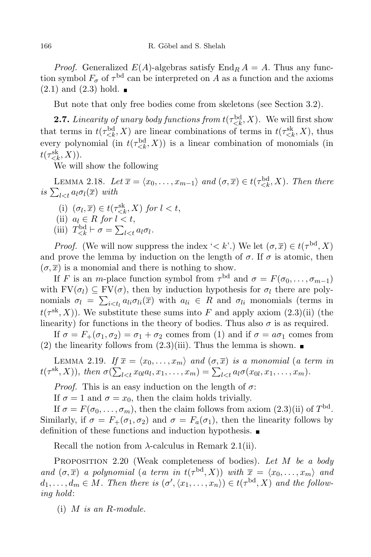*Proof.* Generalized  $E(A)$ -algebras satisfy  $\text{End}_R A = A$ . Thus any function symbol  $F_{\sigma}$  of  $\tau^{\rm bd}$  can be interpreted on A as a function and the axioms  $(2.1)$  and  $(2.3)$  hold.

But note that only free bodies come from skeletons (see Section 3.2).

**2.7.** Linearity of unary body functions from  $t(\tau_{\leq k}^{\text{bd}}, X)$ . We will first show that terms in  $t(\tau_{\leq k}^{\text{bd}}, X)$  are linear combinations of terms in  $t(\tau_{\leq k}^{\text{sk}}, X)$ , thus every polynomial (in  $t(\tau_{\leq k}^{\text{bd}}, X)$ ) is a linear combination of monomials (in  $t(\tau_{\leq k}^{\text{sk}}, X)).$ 

We will show the following

LEMMA 2.18. Let  $\overline{x} = \langle x_0, \ldots, x_{m-1} \rangle$  and  $(\sigma, \overline{x}) \in t(\tau_{\leq k}^{\text{bd}}, X)$ . Then there is  $\sum_{l \leq t} a_l \sigma_l(\overline{x})$  with

- (i)  $(\sigma_l, \overline{x}) \in t(\tau_{\leq k}^{\text{sk}}, X)$  for  $l < t$ ,
- (ii)  $a_l \in R$  for  $l < t$ ,
- (iii)  $T_{\leq k}^{\text{bd}} \vdash \sigma = \sum_{l \leq t} a_l \sigma_l.$

*Proof.* (We will now suppress the index ' $\lt k'$ .) We let  $(\sigma, \overline{x}) \in t(\tau^{bd}, X)$ and prove the lemma by induction on the length of  $\sigma$ . If  $\sigma$  is atomic, then  $(\sigma, \overline{x})$  is a monomial and there is nothing to show.

If F is an m-place function symbol from  $\tau^{\text{bd}}$  and  $\sigma = F(\sigma_0, \ldots, \sigma_{m-1})$ with  $FV(\sigma_l) \subseteq FV(\sigma)$ , then by induction hypothesis for  $\sigma_l$  there are polynomials  $\sigma_l = \sum_{i \leq t_l} a_{li} \sigma_{li}(\overline{x})$  with  $a_{li} \in R$  and  $\sigma_{li}$  monomials (terms in  $t(\tau^{\text{sk}}, X)$ ). We substitute these sums into F and apply axiom  $(2.3)(ii)$  (the linearity) for functions in the theory of bodies. Thus also  $\sigma$  is as required.

If  $\sigma = F_+(\sigma_1, \sigma_2) = \sigma_1 + \sigma_2$  comes from (1) and if  $\sigma = a\sigma_1$  comes from (2) the linearity follows from  $(2.3)(iii)$ . Thus the lemma is shown.

LEMMA 2.19. If  $\overline{x} = \langle x_0, \ldots, x_m \rangle$  and  $(\sigma, \overline{x})$  is a monomial (a term in  $t(\tau^{\text{sk}}, X)$ ), then  $\sigma(\sum_{l < t} x_{0l} a_l, x_1, \ldots, x_m) = \sum_{l < t} a_l \sigma(x_{0l}, x_1, \ldots, x_m)$ .

*Proof.* This is an easy induction on the length of  $\sigma$ :

If  $\sigma = 1$  and  $\sigma = x_0$ , then the claim holds trivially.

If  $\sigma = F(\sigma_0, \ldots, \sigma_m)$ , then the claim follows from axiom  $(2.3)(ii)$  of  $T<sup>bd</sup>$ . Similarly, if  $\sigma = F_+(\sigma_1, \sigma_2)$  and  $\sigma = F_a(\sigma_1)$ , then the linearity follows by definition of these functions and induction hypothesis.

Recall the notion from  $\lambda$ -calculus in Remark 2.1(ii).

PROPOSITION  $2.20$  (Weak completeness of bodies). Let M be a body and  $(\sigma, \overline{x})$  a polynomial (a term in  $t(\tau^{bd}, X)$ ) with  $\overline{x} = \langle x_0, \ldots, x_m \rangle$  and  $d_1,\ldots,d_m\in M$ . Then there is  $(\sigma',\langle x_1,\ldots,x_n\rangle)\in t(\tau^{\mathrm{bd}},X)$  and the following hold:

(i)  $M$  is an  $R$ -module.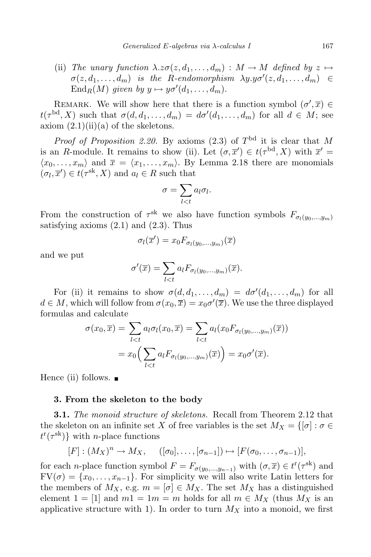(ii) The unary function  $\lambda.z\sigma(z, d_1, \ldots, d_m) : M \to M$  defined by  $z \mapsto$  $\sigma(z, d_1, \ldots, d_m)$  is the R-endomorphism  $\lambda y.y\sigma'(z, d_1, \ldots, d_m) \in$  $\operatorname{End}_R(M)$  given by  $y \mapsto y \sigma'(d_1, \ldots, d_m)$ .

REMARK. We will show here that there is a function symbol  $(\sigma', \overline{x}) \in$  $t(\tau^{\text{bd}}, X)$  such that  $\sigma(d, d_1, \ldots, d_m) = d\sigma'(d_1, \ldots, d_m)$  for all  $d \in M$ ; see axiom  $(2.1)(ii)(a)$  of the skeletons.

*Proof of Proposition 2.20.* By axioms  $(2.3)$  of  $T<sup>bd</sup>$  it is clear that M is an R-module. It remains to show (ii). Let  $(\sigma, \overline{x}') \in t(\tau^{\text{bd}}, X)$  with  $\overline{x}' =$  $\langle x_0, \ldots, x_m \rangle$  and  $\overline{x} = \langle x_1, \ldots, x_m \rangle$ . By Lemma 2.18 there are monomials  $(\sigma_l, \overline{x}') \in t(\tau^{\text{sk}}, X)$  and  $a_l \in R$  such that

$$
\sigma = \sum_{l < t} a_l \sigma_l.
$$

From the construction of  $\tau^{\text{sk}}$  we also have function symbols  $F_{\sigma_l(y_0,...,y_m)}$ satisfying axioms  $(2.1)$  and  $(2.3)$ . Thus

$$
\sigma_l(\overline{x}') = x_0 F_{\sigma_l(y_0,\ldots,y_m)}(\overline{x})
$$

and we put

$$
\sigma'(\overline{x}) = \sum_{l < t} a_l F_{\sigma_l(y_0, \dots, y_m)}(\overline{x}).
$$

For (ii) it remains to show  $\sigma(d, d_1, \ldots, d_m) = d\sigma'(d_1, \ldots, d_m)$  for all  $d \in M$ , which will follow from  $\sigma(x_0, \overline{x}) = x_0 \sigma'(\overline{x})$ . We use the three displayed formulas and calculate

$$
\sigma(x_0, \overline{x}) = \sum_{l < t} a_l \sigma_l(x_0, \overline{x}) = \sum_{l < t} a_l(x_0 F_{\sigma_l(y_0, \dots, y_m)}(\overline{x}))
$$
\n
$$
= x_0 \Big( \sum_{l < t} a_l F_{\sigma_l(y_0, \dots, y_m)}(\overline{x}) \Big) = x_0 \sigma'(\overline{x}).
$$

Hence (ii) follows.  $\blacksquare$ 

### 3. From the skeleton to the body

**3.1.** The monoid structure of skeletons. Recall from Theorem 2.12 that the skeleton on an infinite set X of free variables is the set  $M_X = \{ [\sigma] : \sigma \in$  $t^{\rm r}(\tau^{\rm sk})\}$  with *n*-place functions

$$
[F] : (M_X)^n \to M_X, \quad ([\sigma_0], \ldots, [\sigma_{n-1}]) \mapsto [F(\sigma_0, \ldots, \sigma_{n-1})],
$$

for each *n*-place function symbol  $F = F_{\sigma(y_0,...,y_{n-1})}$  with  $(\sigma, \overline{x}) \in t^r(\tau^{sk})$  and  $FV(\sigma) = \{x_0, \ldots, x_{n-1}\}.$  For simplicity we will also write Latin letters for the members of  $M_X$ , e.g.  $m = [\sigma] \in M_X$ . The set  $M_X$  has a distinguished element  $1 = \lfloor 1 \rfloor$  and  $m1 = 1m = m$  holds for all  $m \in M_X$  (thus  $M_X$  is an applicative structure with 1). In order to turn  $M_X$  into a monoid, we first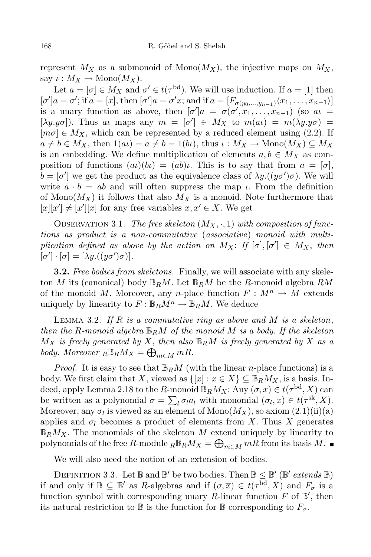represent  $M_X$  as a submonoid of Mono $(M_X)$ , the injective maps on  $M_X$ , say  $\iota : M_X \to \text{Mono}(M_X)$ .

Let  $a = [\sigma] \in M_X$  and  $\sigma' \in t(\tau^{\text{bd}})$ . We will use induction. If  $a = [1]$  then  $[\sigma']a = \sigma';$  if  $a = [x]$ , then  $[\sigma']a = \sigma'x$ ; and if  $a = [F_{\sigma(y_0,...,y_{n-1})}(x_1,...,x_{n-1})]$ is a unary function as above, then  $[\sigma']a = \sigma(\sigma', x_1, \ldots, x_{n-1})$  (so  $a\iota =$ [ $\lambda y.y\sigma$ ]). Thus at maps any  $m = [\sigma'] \in M_X$  to  $m(a \iota) = m(\lambda y.y\sigma) =$  $[m\sigma] \in M_X$ , which can be represented by a reduced element using (2.2). If  $a \neq b \in M_X$ , then  $1(a\iota) = a \neq b = 1(b\iota)$ , thus  $\iota : M_X \to \text{Mono}(M_X) \subseteq M_X$ is an embedding. We define multiplication of elements  $a, b \in M_X$  as composition of functions  $(a\iota)(b\iota) = (ab)\iota$ . This is to say that from  $a = [\sigma]$ ,  $b = [\sigma']$  we get the product as the equivalence class of  $\lambda y.((y\sigma')\sigma)$ . We will write  $a \cdot b = ab$  and will often suppress the map  $\iota$ . From the definition of Mono $(M_X)$  it follows that also  $M_X$  is a monoid. Note furthermore that  $[x][x'] \neq [x'][x]$  for any free variables  $x, x' \in X$ . We get

OBSERVATION 3.1. The free skeleton  $(M_X, \cdot, 1)$  with composition of functions as product is a non-commutative (associative) monoid with multiplication defined as above by the action on  $M_X$ : If  $[\sigma], [\sigma'] \in M_X$ , then  $[\sigma'] \cdot [\sigma] = [\lambda y. ((y\sigma')\sigma)].$ 

**3.2.** Free bodies from skeletons. Finally, we will associate with any skeleton M its (canonical) body  $\mathbb{B}_R M$ . Let  $\mathbb{B}_R M$  be the R-monoid algebra  $RM$ of the monoid M. Moreover, any n-place function  $F : M^n \to M$  extends uniquely by linearity to  $F : \mathbb{B}_R M^n \to \mathbb{B}_R M$ . We deduce

LEMMA 3.2. If  $R$  is a commutative ring as above and  $M$  is a skeleton, then the R-monoid algebra  $\mathbb{B}_{R}M$  of the monoid M is a body. If the skeleton  $M_X$  is freely generated by X, then also  $\mathbb{B}_RM$  is freely generated by X as a body. Moreover  $R \mathbb{B}_R M_X = \bigoplus_{m \in M} mR$ .

*Proof.* It is easy to see that  $\mathbb{B}_R M$  (with the linear *n*-place functions) is a body. We first claim that X, viewed as  $\{[x]: x \in X\} \subseteq \mathbb{B}_R M_X$ , is a basis. Indeed, apply Lemma 2.18 to the R-monoid  $\mathbb{B}_RM_X$ : Any  $(\sigma,\overline{x})\in t(\tau^{\rm bd},X)$  can be written as a polynomial  $\sigma = \sum_l \sigma_l a_l$  with monomial  $(\sigma_l, \overline{x}) \in t(\tau^{\text{sk}}, X)$ . Moreover, any  $\sigma_l$  is viewed as an element of  $\mathrm{Mono}(M_X),$  so axiom  $(2.1)(\mathrm{ii})(\mathrm{a})$ applies and  $\sigma_l$  becomes a product of elements from X. Thus X generates  $\mathbb{B}_RM_X$ . The monomials of the skeleton M extend uniquely by linearity to polynomials of the free R-module  ${}_{R}\mathbb{B}_{R}M_{X} = \bigoplus_{m\in M}mR$  from its basis M.

We will also need the notion of an extension of bodies.

DEFINITION 3.3. Let  $\mathbb{B}$  and  $\mathbb{B}'$  be two bodies. Then  $\mathbb{B} \leq \mathbb{B}'$  ( $\mathbb{B}'$  extends  $\mathbb{B}$ ) if and only if  $\mathbb{B} \subseteq \mathbb{B}'$  as R-algebras and if  $(\sigma, \overline{x}) \in t(\tau^{\text{bd}}, X)$  and  $F_{\sigma}$  is a function symbol with corresponding unary R-linear function  $F$  of  $\mathbb{B}'$ , then its natural restriction to  $\mathbb B$  is the function for  $\mathbb B$  corresponding to  $F_{\sigma}$ .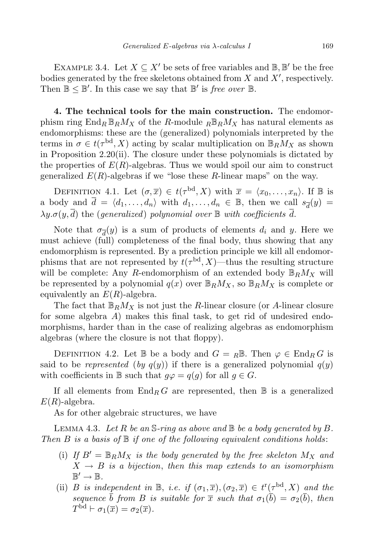EXAMPLE 3.4. Let  $X \subseteq X'$  be sets of free variables and  $\mathbb{B}, \mathbb{B}'$  be the free bodies generated by the free skeletons obtained from  $X$  and  $X'$ , respectively. Then  $\mathbb{B} \leq \mathbb{B}'$ . In this case we say that  $\mathbb{B}'$  is free over  $\mathbb{B}$ .

4. The technical tools for the main construction. The endomorphism ring  $\text{End}_R \mathbb{B}_R M_X$  of the R-module  $R \mathbb{B}_R M_X$  has natural elements as endomorphisms: these are the (generalized) polynomials interpreted by the terms in  $\sigma \in t(\tau^{\text{bd}}, X)$  acting by scalar multiplication on  $\mathbb{B}_R M_X$  as shown in Proposition 2.20(ii). The closure under these polynomials is dictated by the properties of  $E(R)$ -algebras. Thus we would spoil our aim to construct generalized  $E(R)$ -algebras if we "lose these R-linear maps" on the way.

DEFINITION 4.1. Let  $(\sigma,\overline{x}) \in t(\tau^{\text{bd}}, X)$  with  $\overline{x} = \langle x_0, \ldots, x_n \rangle$ . If  $\mathbb B$  is a body and  $\overline{d} = \langle d_1, \ldots, d_n \rangle$  with  $d_1, \ldots, d_n \in \mathbb{B}$ , then we call  $s_{\overline{d}}(y) =$  $\lambda y.\sigma(y,\overline{d})$  the (generalized) polynomial over  $\mathbb B$  with coefficients  $\overline{d}$ .

Note that  $\sigma_{\overline{d}}(y)$  is a sum of products of elements  $d_i$  and y. Here we must achieve (full) completeness of the final body, thus showing that any endomorphism is represented. By a prediction principle we kill all endomorphisms that are not represented by  $t(\tau<sup>bd</sup>, X)$ —thus the resulting structure will be complete: Any R-endomorphism of an extended body  $\mathbb{B}_R M_X$  will be represented by a polynomial  $q(x)$  over  $\mathbb{B}_R M_X$ , so  $\mathbb{B}_R M_X$  is complete or equivalently an  $E(R)$ -algebra.

The fact that  $\mathbb{B}_R M_X$  is not just the R-linear closure (or A-linear closure for some algebra  $A$ ) makes this final task, to get rid of undesired endomorphisms, harder than in the case of realizing algebras as endomorphism algebras (where the closure is not that floppy).

DEFINITION 4.2. Let B be a body and  $G = R\mathbb{B}$ . Then  $\varphi \in \text{End}_R G$  is said to be represented  $(by q(y))$  if there is a generalized polynomial  $q(y)$ with coefficients in B such that  $q\varphi = q(q)$  for all  $q \in G$ .

If all elements from  $\text{End}_R G$  are represented, then  $\mathbb B$  is a generalized  $E(R)$ -algebra.

As for other algebraic structures, we have

LEMMA 4.3. Let R be an S-ring as above and  $\mathbb B$  be a body generated by B. Then B is a basis of  $\mathbb B$  if one of the following equivalent conditions holds:

- (i) If  $B' = \mathbb{B}_R M_X$  is the body generated by the free skeleton  $M_X$  and  $X \rightarrow B$  is a bijection, then this map extends to an isomorphism  $\mathbb{B}' \to \mathbb{B}$ .
- (ii) B is independent in  $\mathbb{B}$ , i.e. if  $(\sigma_1, \overline{x})$ ,  $(\sigma_2, \overline{x}) \in t^r(\tau^{bd}, X)$  and the sequence  $\overline{b}$  from B is suitable for  $\overline{x}$  such that  $\sigma_1(\overline{b}) = \sigma_2(\overline{b})$ , then  $T^{\mathrm{bd}} \vdash \sigma_1(\overline{x}) = \sigma_2(\overline{x}).$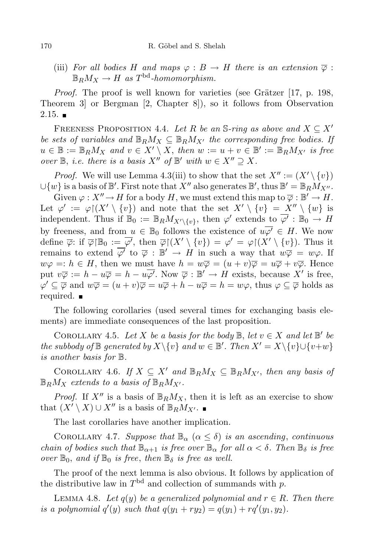(iii) For all bodies H and maps  $\varphi : B \to H$  there is an extension  $\overline{\varphi}$ :  $\mathbb{B}_RM_X \to H$  as  $T^{\text{bd}}$ -homomorphism.

*Proof.* The proof is well known for varieties (see Grätzer  $[17, p. 198,$ Theorem 3] or Bergman [2, Chapter 8]), so it follows from Observation  $2.15.$ 

FREENESS PROPOSITION 4.4. Let R be an S-ring as above and  $X \subseteq X'$ be sets of variables and  $\mathbb{B}_R M_X \subseteq \mathbb{B}_R M_{X'}$  the corresponding free bodies. If  $u \in \mathbb{B} := \mathbb{B}_R M_X$  and  $v \in X' \setminus X$ , then  $w := u + v \in \mathbb{B}' := \mathbb{B}_R M_{X'}$  is free over  $\mathbb{B}$ , *i.e.* there is a basis  $X''$  of  $\mathbb{B}'$  with  $w \in X'' \supseteq X$ .

*Proof.* We will use Lemma 4.3(iii) to show that the set  $X'' := (X' \setminus \{v\})$ ∪{w} is a basis of  $\mathbb{B}'$ . First note that  $X''$  also generates  $\mathbb{B}'$ , thus  $\mathbb{B}' = \mathbb{B}_R M_{X''}$ .

Given  $\varphi: X'' \to H$  for a body H, we must extend this map to  $\overline{\varphi}: \mathbb{B}' \to H$ . Let  $\varphi' := \varphi \restriction (X' \setminus \{v\})$  and note that the set  $X' \setminus \{v\} = X'' \setminus \{w\}$  is independent. Thus if  $\mathbb{B}_0 := \mathbb{B}_R M_{X' \setminus \{v\}}$ , then  $\varphi'$  extends to  $\overline{\varphi'} : \mathbb{B}_0 \to H$ by freeness, and from  $u \in \mathbb{B}_0$  follows the existence of  $u\overline{\varphi'} \in H$ . We now define  $\overline{\varphi}$ : if  $\overline{\varphi} \upharpoonright \mathbb{B}_0 := \overline{\varphi'}$ , then  $\overline{\varphi} \upharpoonright (X' \setminus \{v\}) = \varphi' = \varphi \upharpoonright (X' \setminus \{v\})$ . Thus it remains to extend  $\overline{\varphi'}$  to  $\overline{\varphi}$ :  $\mathbb{B'} \to H$  in such a way that  $w\overline{\varphi} = w\varphi$ . If  $w\varphi =: h \in H$ , then we must have  $h = w\overline{\varphi} = (u+v)\overline{\varphi} = u\overline{\varphi} + v\overline{\varphi}$ . Hence put  $v\overline{\varphi} := h - u\overline{\varphi} = h - u\overline{\varphi'}$ . Now  $\overline{\varphi} : \mathbb{B}' \to H$  exists, because X' is free,  $\varphi' \subseteq \overline{\varphi}$  and  $w\overline{\varphi} = (u+v)\overline{\varphi} = u\overline{\varphi} + h - u\overline{\varphi} = h = w\varphi$ , thus  $\varphi \subseteq \overline{\varphi}$  holds as required.

The following corollaries (used several times for exchanging basis elements) are immediate consequences of the last proposition.

COROLLARY 4.5. Let X be a basis for the body  $\mathbb{B}$ , let  $v \in X$  and let  $\mathbb{B}'$  be the subbody of  $\mathbb B$  generated by  $X\setminus\{v\}$  and  $w\in\mathbb B'$ . Then  $X'=X\setminus\{v\}\cup\{v+w\}$ is another basis for B.

COROLLARY 4.6. If  $X \subseteq X'$  and  $\mathbb{B}_R M_X \subseteq \mathbb{B}_R M_{X'}$ , then any basis of  $\mathbb{B}_R M_X$  extends to a basis of  $\mathbb{B}_R M_{X'}$ .

*Proof.* If  $X''$  is a basis of  $\mathbb{B}_R M_X$ , then it is left as an exercise to show that  $(X' \setminus X) \cup X''$  is a basis of  $\mathbb{B}_R M_{X'}$ . ■

The last corollaries have another implication.

COROLLARY 4.7. Suppose that  $\mathbb{B}_{\alpha}$   $(\alpha \leq \delta)$  is an ascending, continuous chain of bodies such that  $\mathbb{B}_{\alpha+1}$  is free over  $\mathbb{B}_{\alpha}$  for all  $\alpha < \delta$ . Then  $\mathbb{B}_{\delta}$  is free over  $\mathbb{B}_0$ , and if  $\mathbb{B}_0$  is free, then  $\mathbb{B}_\delta$  is free as well.

The proof of the next lemma is also obvious. It follows by application of the distributive law in  $T<sup>bd</sup>$  and collection of summands with p.

LEMMA 4.8. Let  $q(y)$  be a generalized polynomial and  $r \in R$ . Then there is a polynomial  $q'(y)$  such that  $q(y_1 + ry_2) = q(y_1) + rq'(y_1, y_2)$ .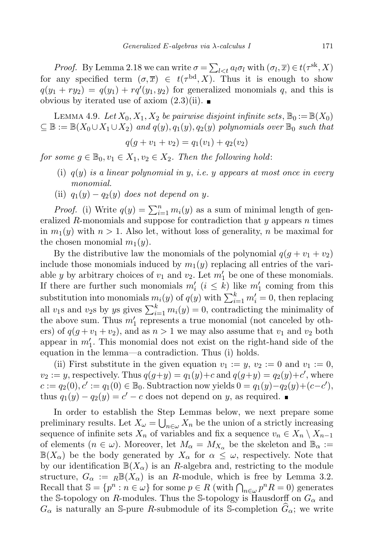*Proof.* By Lemma 2.18 we can write  $\sigma = \sum_{l \lt t} a_l \sigma_l$  with  $(\sigma_l, \overline{x}) \in t(\tau^{\text{sk}}, X)$ for any specified term  $(\sigma,\overline{x}) \in t(\tau^{bd},X)$ . Thus it is enough to show  $q(y_1 + ry_2) = q(y_1) + rq'(y_1, y_2)$  for generalized monomials q, and this is obvious by iterated use of axiom  $(2.3)(ii)$ .

LEMMA 4.9. Let  $X_0, X_1, X_2$  be pairwise disjoint infinite sets,  $\mathbb{B}_0 := \mathbb{B}(X_0)$  $\subseteq \mathbb{B} := \mathbb{B}(X_0 \cup X_1 \cup X_2)$  and  $q(y), q_1(y), q_2(y)$  polynomials over  $\mathbb{B}_0$  such that

$$
q(g + v_1 + v_2) = q_1(v_1) + q_2(v_2)
$$

for some  $g \in \mathbb{B}_0, v_1 \in X_1, v_2 \in X_2$ . Then the following hold:

- (i)  $q(y)$  is a linear polynomial in y, i.e. y appears at most once in every monomial.
- (ii)  $q_1(y) q_2(y)$  does not depend on y.

*Proof.* (i) Write  $q(y) = \sum_{i=1}^{n} m_i(y)$  as a sum of minimal length of generalized R-monomials and suppose for contradiction that  $y$  appears  $n$  times in  $m_1(y)$  with  $n > 1$ . Also let, without loss of generality, n be maximal for the chosen monomial  $m_1(y)$ .

By the distributive law the monomials of the polynomial  $q(q + v_1 + v_2)$ include those monomials induced by  $m_1(y)$  replacing all entries of the variable y by arbitrary choices of  $v_1$  and  $v_2$ . Let  $m'_1$  be one of these monomials. If there are further such monomials  $m'_i$   $(i \leq k)$  like  $m'_1$  coming from this substitution into monomials  $m_i(y)$  of  $q(y)$  with  $\sum_{i=1}^k m'_i = 0$ , then replacing all  $v_1$ s and  $v_2$ s by ys gives  $\sum_{i=1}^k m_i(y) = 0$ , contradicting the minimality of the above sum. Thus  $m'_1$  represents a true monomial (not canceled by others) of  $q(q + v_1 + v_2)$ , and as  $n > 1$  we may also assume that  $v_1$  and  $v_2$  both appear in  $m'_1$ . This monomial does not exist on the right-hand side of the equation in the lemma—a contradiction. Thus (i) holds.

(ii) First substitute in the given equation  $v_1 := y$ ,  $v_2 := 0$  and  $v_1 := 0$ ,  $v_2 := y$ , respectively. Thus  $q(g+y) = q_1(y)+c$  and  $q(g+y) = q_2(y)+c'$ , where  $c := q_2(0), c' := q_1(0) \in \mathbb{B}_0$ . Subtraction now yields  $0 = q_1(y) - q_2(y) + (c - c')$ , thus  $q_1(y) - q_2(y) = c' - c$  does not depend on y, as required.

In order to establish the Step Lemmas below, we next prepare some preliminary results. Let  $X_{\omega} = \bigcup_{n \in \omega} X_n$  be the union of a strictly increasing sequence of infinite sets  $X_n$  of variables and fix a sequence  $v_n \in X_n \setminus X_{n-1}$ of elements  $(n \in \omega)$ . Moreover, let  $M_{\alpha} = M_{X_{\alpha}}$  be the skeleton and  $\mathbb{B}_{\alpha} :=$  $\mathbb{B}(X_{\alpha})$  be the body generated by  $X_{\alpha}$  for  $\alpha \leq \omega$ , respectively. Note that by our identification  $\mathbb{B}(X_\alpha)$  is an R-algebra and, restricting to the module structure,  $G_{\alpha} := R\mathbb{B}(X_{\alpha})$  is an R-module, which is free by Lemma 3.2. Recall that  $\mathbb{S} = \{p^n : n \in \omega\}$  for some  $p \in R$  (with  $\bigcap_{n \in \omega} p^n R = 0$ ) generates the S-topology on R-modules. Thus the S-topology is Hausdorff on  $G_{\alpha}$  and  $G_{\alpha}$  is naturally an S-pure R-submodule of its S-completion  $G_{\alpha}$ ; we write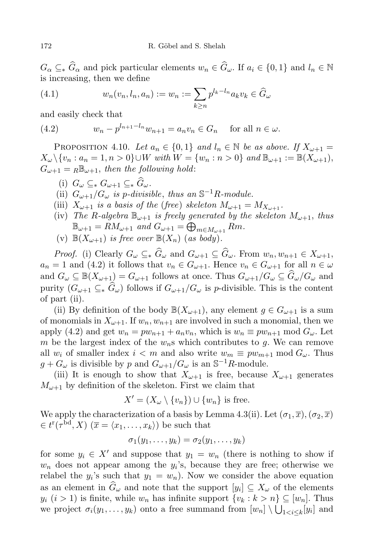$G_{\alpha} \subseteq_{*} \widehat{G}_{\alpha}$  and pick particular elements  $w_n \in \widehat{G}_{\omega}$ . If  $a_i \in \{0,1\}$  and  $l_n \in \mathbb{N}$ is increasing, then we define

(4.1) 
$$
w_n(v_n, l_n, a_n) := w_n := \sum_{k \ge n} p^{l_k - l_n} a_k v_k \in \widehat{G}_{\omega}
$$

and easily check that

(4.2) 
$$
w_n - p^{l_{n+1} - l_n} w_{n+1} = a_n v_n \in G_n \text{ for all } n \in \omega.
$$

PROPOSITION 4.10. Let  $a_n \in \{0,1\}$  and  $l_n \in \mathbb{N}$  be as above. If  $X_{\omega+1} =$  $X_{\omega} \setminus \{v_n : a_n = 1, n > 0\} \cup W$  with  $W = \{w_n : n > 0\}$  and  $\mathbb{B}_{\omega+1} := \mathbb{B}(X_{\omega+1}),$  $G_{\omega+1} = {}_R\mathbb{B}_{\omega+1}$ , then the following hold:

- (i)  $G_{\omega} \subseteq_{*} G_{\omega+1} \subseteq_{*} \widehat{G}_{\omega}$ .
- (ii)  $G_{\omega+1}/G_{\omega}$  is p-divisible, thus an  $\mathbb{S}^{-1}R$ -module.
- (iii)  $X_{\omega+1}$  is a basis of the (free) skeleton  $M_{\omega+1} = M_{X_{\omega+1}}$ .
- (iv) The R-algebra  $\mathbb{B}_{\omega+1}$  is freely generated by the skeleton  $M_{\omega+1}$ , thus  $\mathbb{B}_{\omega+1} = RM_{\omega+1}$  and  $G_{\omega+1} = \bigoplus_{m \in M_{\omega+1}} Rm$ .
- (v)  $\mathbb{B}(X_{\omega+1})$  is free over  $\mathbb{B}(X_n)$  (as body).

*Proof.* (i) Clearly  $G_{\omega} \subseteq_{*} \widehat{G}_{\omega}$  and  $G_{\omega+1} \subseteq \widehat{G}_{\omega}$ . From  $w_n, w_{n+1} \in X_{\omega+1}$ ,  $a_n = 1$  and (4.2) it follows that  $v_n \in G_{\omega+1}$ . Hence  $v_n \in G_{\omega+1}$  for all  $n \in \omega$ and  $G_{\omega} \subseteq \mathbb{B}(X_{\omega+1}) = G_{\omega+1}$  follows at once. Thus  $G_{\omega+1}/G_{\omega} \subseteq \widehat{G}_{\omega}/G_{\omega}$  and purity  $(G_{\omega+1} \subseteq \hat{G}_{\omega})$  follows if  $G_{\omega+1}/G_{\omega}$  is p-divisible. This is the content of part (ii).

(ii) By definition of the body  $\mathbb{B}(X_{\omega+1})$ , any element  $g \in G_{\omega+1}$  is a sum of monomials in  $X_{\omega+1}$ . If  $w_n, w_{n+1}$  are involved in such a monomial, then we apply (4.2) and get  $w_n = pw_{n+1} + a_n v_n$ , which is  $w_n \equiv pw_{n+1} \mod G_\omega$ . Let m be the largest index of the  $w_n$ s which contributes to g. We can remove all w<sub>i</sub> of smaller index  $i < m$  and also write  $w_m \equiv pw_{m+1} \mod G_{\omega}$ . Thus  $g + G_{\omega}$  is divisible by p and  $G_{\omega+1}/G_{\omega}$  is an  $\mathbb{S}^{-1}R$ -module.

(iii) It is enough to show that  $X_{\omega+1}$  is free, because  $X_{\omega+1}$  generates  $M_{\omega+1}$  by definition of the skeleton. First we claim that

$$
X' = (X_{\omega} \setminus \{v_n\}) \cup \{w_n\} \text{ is free.}
$$

We apply the characterization of a basis by Lemma 4.3(ii). Let  $(\sigma_1, \overline{x}), (\sigma_2, \overline{x})$  $\in t^{r}(\tau^{\text{bd}}, X)$   $(\overline{x} = \langle x_1, \ldots, x_k \rangle)$  be such that

$$
\sigma_1(y_1,\ldots,y_k)=\sigma_2(y_1,\ldots,y_k)
$$

for some  $y_i \in X'$  and suppose that  $y_1 = w_n$  (there is nothing to show if  $w_n$  does not appear among the  $y_i$ 's, because they are free; otherwise we relabel the  $y_i$ 's such that  $y_1 = w_n$ ). Now we consider the above equation as an element in  $G_{\omega}$  and note that the support  $[y_i] \subseteq X_{\omega}$  of the elements  $y_i$   $(i > 1)$  is finite, while  $w_n$  has infinite support  $\{v_k : k > n\} \subseteq [w_n]$ . Thus we project  $\sigma_i(y_1,\ldots,y_k)$  onto a free summand from  $[w_n] \setminus \bigcup_{1 \leq i \leq k} [y_i]$  and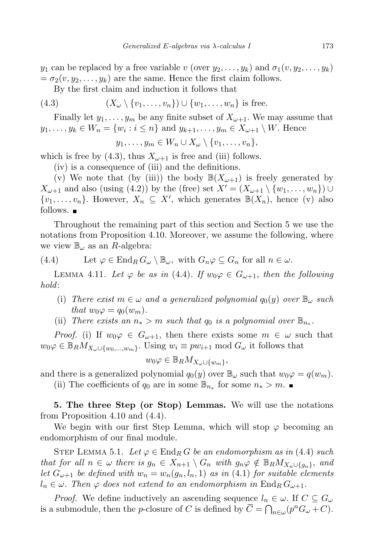$y_1$  can be replaced by a free variable v (over  $y_2, \ldots, y_k$ ) and  $\sigma_1(v, y_2, \ldots, y_k)$  $= \sigma_2(v, y_2, \dots, y_k)$  are the same. Hence the first claim follows.

By the first claim and induction it follows that

(4.3) 
$$
(X_{\omega} \setminus \{v_1, \ldots, v_n\}) \cup \{w_1, \ldots, w_n\} \text{ is free.}
$$

Finally let  $y_1, \ldots, y_m$  be any finite subset of  $X_{\omega+1}$ . We may assume that  $y_1, \ldots, y_k \in W_n = \{w_i : i \leq n\}$  and  $y_{k+1}, \ldots, y_m \in X_{\omega+1} \setminus W$ . Hence

 $y_1, \ldots, y_m \in W_n \cup X_\omega \setminus \{v_1, \ldots, v_n\},\$ 

which is free by (4.3), thus  $X_{\omega+1}$  is free and (iii) follows.

(iv) is a consequence of (iii) and the definitions.

(v) We note that (by (iii)) the body  $\mathbb{B}(X_{\omega+1})$  is freely generated by  $X_{\omega+1}$  and also (using (4.2)) by the (free) set  $X' = (X_{\omega+1} \setminus \{w_1, \ldots, w_n\}) \cup$  $\{v_1, \ldots, v_n\}$ . However,  $X_n \subseteq X'$ , which generates  $\mathbb{B}(X_n)$ , hence (v) also follows.  $\blacksquare$ 

Throughout the remaining part of this section and Section 5 we use the notations from Proposition 4.10. Moreover, we assume the following, where we view  $\mathbb{B}_{\omega}$  as an R-algebra:

(4.4) Let 
$$
\varphi \in \text{End}_R G_\omega \setminus \mathbb{B}_\omega
$$
, with  $G_n \varphi \subseteq G_n$  for all  $n \in \omega$ .

LEMMA 4.11. Let  $\varphi$  be as in (4.4). If  $w_0\varphi \in G_{\omega+1}$ , then the following hold:

- (i) There exist  $m \in \omega$  and a generalized polynomial  $q_0(y)$  over  $\mathbb{B}_{\omega}$  such that  $w_0\varphi = q_0(w_m)$ .
- (ii) There exists an  $n_* > m$  such that  $q_0$  is a polynomial over  $\mathbb{B}_{n_*}$ .

*Proof.* (i) If  $w_0\varphi \in G_{\omega+1}$ , then there exists some  $m \in \omega$  such that  $w_0\varphi \in \mathbb{B}_R M_{X_\omega \cup \{w_0,\dots,w_m\}}$ . Using  $w_i \equiv pw_{i+1} \bmod G_\omega$  it follows that

$$
w_0\varphi \in \mathbb{B}_R M_{X_\omega \cup \{w_m\}},
$$

and there is a generalized polynomial  $q_0(y)$  over  $\mathbb{B}_{\omega}$  such that  $w_0\varphi = q(w_m)$ .

(ii) The coefficients of  $q_0$  are in some  $\mathbb{B}_{n_*}$  for some  $n_* > m$ .

5. The three Step (or Stop) Lemmas. We will use the notations from Proposition 4.10 and (4.4).

We begin with our first Step Lemma, which will stop  $\varphi$  becoming an endomorphism of our final module.

STEP LEMMA 5.1. Let  $\varphi \in \text{End}_R G$  be an endomorphism as in (4.4) such that for all  $n \in \omega$  there is  $g_n \in X_{n+1} \setminus G_n$  with  $g_n \varphi \notin \mathbb{B}_R M_{X_n \cup \{g_n\}}$ , and let  $G_{\omega+1}$  be defined with  $w_n = w_n(g_n, l_n, 1)$  as in (4.1) for suitable elements  $l_n \in \omega$ . Then  $\varphi$  does not extend to an endomorphism in  $\text{End}_R G_{\omega+1}$ .

*Proof.* We define inductively an ascending sequence  $l_n \in \omega$ . If  $C \subseteq G_{\omega}$ is a submodule, then the *p*-closure of C is defined by  $\overline{C} = \bigcap_{n \in \omega} (p^n G_{\omega} + C)$ .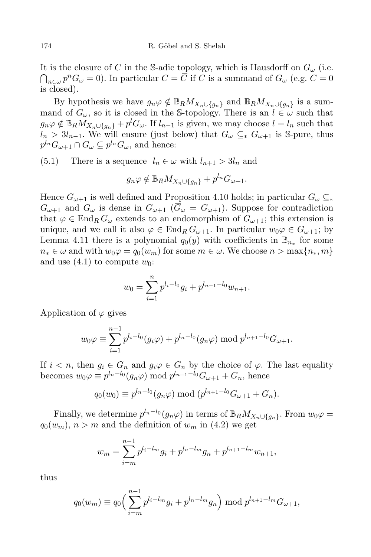It is the closure of C in the S-adic topology, which is Hausdorff on  $G_{\omega}$  (i.e.  $\bigcap_{n\in\omega}p^nG_\omega=0$ ). In particular  $C=\overline{C}$  if C is a summand of  $G_\omega$  (e.g.  $C=0$ is closed).

By hypothesis we have  $g_n\varphi \notin \mathbb{B}_R M_{X_n \cup \{g_n\}}$  and  $\mathbb{B}_R M_{X_n \cup \{g_n\}}$  is a summand of  $G_{\omega}$ , so it is closed in the S-topology. There is an  $l \in \omega$  such that  $g_n\varphi \notin \mathbb{B}_R M_{X_n \cup \{g_n\}} + p^l G_\omega$ . If  $l_{n-1}$  is given, we may choose  $l = l_n$  such that  $l_n > 3l_{n-1}$ . We will ensure (just below) that  $G_\omega \subseteq_* G_{\omega+1}$  is S-pure, thus  $p^{l_n}G_{\omega+1}\cap G_{\omega}\subseteq p^{l_n}G_{\omega}$ , and hence:

(5.1) There is a sequence  $l_n \in \omega$  with  $l_{n+1} > 3l_n$  and

$$
g_n \varphi \notin \mathbb{B}_R M_{X_n \cup \{g_n\}} + p^{l_n} G_{\omega+1}.
$$

Hence  $G_{\omega+1}$  is well defined and Proposition 4.10 holds; in particular  $G_{\omega} \subseteq_{*}$  $G_{\omega+1}$  and  $G_{\omega}$  is dense in  $G_{\omega+1}$  ( $\overline{G}_{\omega} = G_{\omega+1}$ ). Suppose for contradiction that  $\varphi \in \text{End}_{R} G_{\omega}$  extends to an endomorphism of  $G_{\omega+1}$ ; this extension is unique, and we call it also  $\varphi \in \text{End}_R G_{\omega+1}$ . In particular  $w_0 \varphi \in G_{\omega+1}$ ; by Lemma 4.11 there is a polynomial  $q_0(y)$  with coefficients in  $\mathbb{B}_{n_*}$  for some  $n_* \in \omega$  and with  $w_0\varphi = q_0(w_m)$  for some  $m \in \omega$ . We choose  $n > \max\{n_*, m\}$ and use  $(4.1)$  to compute  $w_0$ :

$$
w_0 = \sum_{i=1}^n p^{l_i - l_0} g_i + p^{l_{n+1} - l_0} w_{n+1}.
$$

Application of  $\varphi$  gives

$$
w_0 \varphi \equiv \sum_{i=1}^{n-1} p^{l_i - l_0} (g_i \varphi) + p^{l_n - l_0} (g_n \varphi) \bmod p^{l_{n+1} - l_0} G_{\omega+1}.
$$

If  $i < n$ , then  $g_i \in G_n$  and  $g_i \varphi \in G_n$  by the choice of  $\varphi$ . The last equality becomes  $w_0 \varphi \equiv p^{l_n-l_0}(g_n \varphi) \mod p^{l_{n+1}-l_0} G_{\omega+1} + G_n$ , hence

$$
q_0(w_0) \equiv p^{l_n-l_0}(g_n \varphi) \bmod (p^{l_{n+1}-l_0} G_{\omega+1} + G_n).
$$

Finally, we determine  $p^{l_n-l_0}(g_n\varphi)$  in terms of  $\mathbb{B}_RM_{X_n\cup\{g_n\}}$ . From  $w_0\varphi =$  $q_0(w_m)$ ,  $n > m$  and the definition of  $w_m$  in (4.2) we get

$$
w_m = \sum_{i=m}^{n-1} p^{l_i - l_m} g_i + p^{l_n - l_m} g_n + p^{l_{n+1} - l_m} w_{n+1},
$$

thus

$$
q_0(w_m) \equiv q_0 \left( \sum_{i=m}^{n-1} p^{l_i - l_m} g_i + p^{l_n - l_m} g_n \right) \bmod p^{l_{n+1} - l_m} G_{\omega+1},
$$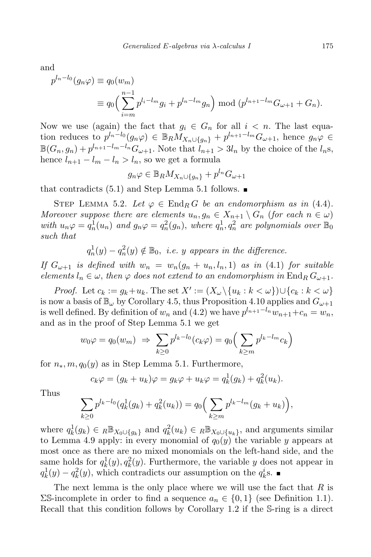and

$$
p^{l_n-l_0}(g_n \varphi) \equiv q_0(w_m)
$$
  
\n
$$
\equiv q_0 \left( \sum_{i=m}^{n-1} p^{l_i-l_m} g_i + p^{l_n-l_m} g_n \right) \bmod (p^{l_{n+1}-l_m} G_{\omega+1} + G_n).
$$

Now we use (again) the fact that  $g_i \in G_n$  for all  $i < n$ . The last equation reduces to  $p^{l_n-l_0}(g_n\varphi) \in \mathbb{B}_R M_{X_n \cup \{g_n\}} + p^{l_{n+1}-l_m} G_{\omega+1}$ , hence  $g_n\varphi \in$  $\mathbb{B}(G_n, g_n) + p^{l_{n+1}-l_m-l_n} G_{\omega+1}$ . Note that  $l_{n+1} > 3l_n$  by the choice of the  $l_n$ s, hence  $l_{n+1} - l_m - l_n > l_n$ , so we get a formula

$$
g_n\varphi \in \mathbb{B}_R M_{X_n \cup \{g_n\}} + p^{l_n} G_{\omega+1}
$$

that contradicts  $(5.1)$  and Step Lemma 5.1 follows.

STEP LEMMA 5.2. Let  $\varphi \in \text{End}_R G$  be an endomorphism as in (4.4). Moreover suppose there are elements  $u_n, g_n \in X_{n+1} \setminus G_n$  (for each  $n \in \omega$ ) with  $u_n\varphi = q_n^1(u_n)$  and  $g_n\varphi = q_n^2(g_n)$ , where  $q_n^1, q_n^2$  are polynomials over  $\mathbb{B}_0$ such that

 $q_n^1(y) - q_n^2(y) \notin \mathbb{B}_0$ , i.e. y appears in the difference.

If  $G_{\omega+1}$  is defined with  $w_n = w_n(g_n + u_n, l_n, 1)$  as in (4.1) for suitable elements  $l_n \in \omega$ , then  $\varphi$  does not extend to an endomorphism in End<sub>R</sub>  $G_{\omega+1}$ .

*Proof.* Let  $c_k := g_k + u_k$ . The set  $X' := (X_\omega \setminus \{u_k : k < \omega\}) \cup \{c_k : k < \omega\}$ is now a basis of  $\mathbb{B}_{\omega}$  by Corollary 4.5, thus Proposition 4.10 applies and  $G_{\omega+1}$ is well defined. By definition of  $w_n$  and  $(4.2)$  we have  $p^{l_{n+1}-l_n}w_{n+1}+c_n=w_n$ , and as in the proof of Step Lemma 5.1 we get

$$
w_0 \varphi = q_0(w_m) \Rightarrow \sum_{k \ge 0} p^{l_k - l_0} (c_k \varphi) = q_0 \Big( \sum_{k \ge m} p^{l_k - l_m} c_k \Big)
$$

for  $n_*, m, q_0(y)$  as in Step Lemma 5.1. Furthermore,

$$
c_k \varphi = (g_k + u_k)\varphi = g_k \varphi + u_k \varphi = q_k^1(g_k) + q_k^2(u_k).
$$

Thus

$$
\sum_{k\geq 0} p^{l_k-l_0}(q_k^1(g_k) + q_k^2(u_k)) = q_0 \Big(\sum_{k\geq m} p^{l_k-l_m}(g_k + u_k)\Big),
$$

where  $q_k^1(g_k) \in \mathbb{R} \mathbb{B}_{X_0 \cup \{g_k\}}$  and  $q_k^2(u_k) \in \mathbb{R} \mathbb{B}_{X_0 \cup \{u_k\}}$ , and arguments similar to Lemma 4.9 apply: in every monomial of  $q_0(y)$  the variable y appears at most once as there are no mixed monomials on the left-hand side, and the same holds for  $q_k^1(y)$ ,  $q_k^2(y)$ . Furthermore, the variable y does not appear in  $q_k^1(y) - q_k^2(y)$ , which contradicts our assumption on the  $q_k^i$ s.

The next lemma is the only place where we will use the fact that  $R$  is  $\Sigma$ S-incomplete in order to find a sequence  $a_n \in \{0,1\}$  (see Definition 1.1). Recall that this condition follows by Corollary 1.2 if the S-ring is a direct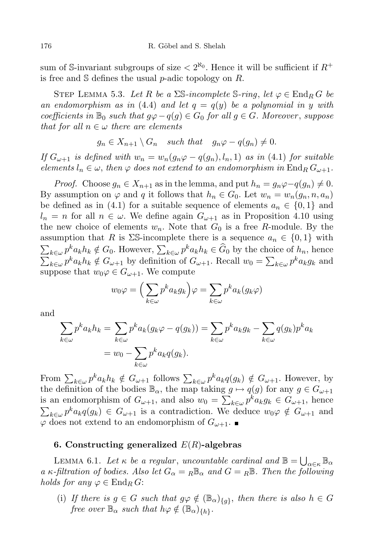sum of S-invariant subgroups of size  $\langle 2^{\aleph_0}$ . Hence it will be sufficient if  $R^+$ is free and  $\mathcal S$  defines the usual p-adic topology on R.

STEP LEMMA 5.3. Let R be a  $\Sigma$ S-incomplete S-ring, let  $\varphi \in \text{End}_R G$  be an endomorphism as in (4.4) and let  $q = q(y)$  be a polynomial in y with coefficients in  $\mathbb{B}_0$  such that  $q\varphi - q(q) \in G_0$  for all  $q \in G$ . Moreover, suppose that for all  $n \in \omega$  there are elements

$$
g_n \in X_{n+1} \setminus G_n \quad such \; that \quad g_n \varphi - q(g_n) \neq 0.
$$

If  $G_{\omega+1}$  is defined with  $w_n = w_n(g_n\varphi - q(g_n), l_n, 1)$  as in (4.1) for suitable elements  $l_n \in \omega$ , then  $\varphi$  does not extend to an endomorphism in  $\text{End}_R G_{\omega+1}$ .

*Proof.* Choose  $g_n \in X_{n+1}$  as in the lemma, and put  $h_n = g_n \varphi - q(g_n) \neq 0$ . By assumption on  $\varphi$  and q it follows that  $h_n \in G_0$ . Let  $w_n = w_n(g_n, n, a_n)$ be defined as in (4.1) for a suitable sequence of elements  $a_n \in \{0,1\}$  and  $l_n = n$  for all  $n \in \omega$ . We define again  $G_{\omega+1}$  as in Proposition 4.10 using the new choice of elements  $w_n$ . Note that  $G_0$  is a free R-module. By the assumption that R is  $\Sigma$ S-incomplete there is a sequence  $a_n \in \{0,1\}$  with  $\sum_{k\in\omega} p^k a_k h_k \notin G_0$ . However,  $\sum_{k\in\omega} p^k a_k h_k \in \widehat{G}_0$  by the choice of  $h_n$ , hence  $\sum_{k\in\omega} p^k a_k h_k \notin G_{\omega+1}$  by definition of  $G_{\omega+1}$ . Recall  $w_0 = \sum_{k\in\omega} p^k a_k g_k$  and suppose that  $w_0\varphi \in G_{\omega+1}$ . We compute

$$
w_0 \varphi = \left(\sum_{k \in \omega} p^k a_k g_k\right) \varphi = \sum_{k \in \omega} p^k a_k (g_k \varphi)
$$

and

$$
\sum_{k \in \omega} p^k a_k h_k = \sum_{k \in \omega} p^k a_k (g_k \varphi - q(g_k)) = \sum_{k \in \omega} p^k a_k g_k - \sum_{k \in \omega} q(g_k) p^k a_k
$$

$$
= w_0 - \sum_{k \in \omega} p^k a_k q(g_k).
$$

From  $\sum_{k\in\omega} p^k a_k h_k \notin G_{\omega+1}$  follows  $\sum_{k\in\omega} p^k a_k q(g_k) \notin G_{\omega+1}$ . However, by the definition of the bodies  $\mathbb{B}_{\alpha}$ , the map taking  $g \mapsto q(g)$  for any  $g \in G_{\omega+1}$ is an endomorphism of  $G_{\omega+1}$ , and also  $w_0 = \sum_{k \in \omega} p^k a_k g_k \in G_{\omega+1}$ , hence  $\sum_{k\in\omega} p^k a_k q(g_k) \in G_{\omega+1}$  is a contradiction. We deduce  $w_0\varphi \notin G_{\omega+1}$  and  $\varphi$  does not extend to an endomorphism of  $G_{\omega+1}$ .

## 6. Constructing generalized  $E(R)$ -algebras

LEMMA 6.1. Let  $\kappa$  be a regular, uncountable cardinal and  $\mathbb{B} = \bigcup_{\alpha \in \kappa} \mathbb{B}_{\alpha}$ a κ-filtration of bodies. Also let  $G_{\alpha} = R \mathbb{B}_{\alpha}$  and  $G = R \mathbb{B}$ . Then the following holds for any  $\varphi \in \text{End}_R G$ :

(i) If there is  $g \in G$  such that  $g\varphi \notin (\mathbb{B}_{\alpha})_{\{g\}}$ , then there is also  $h \in G$ free over  $\mathbb{B}_{\alpha}$  such that  $h\varphi \notin (\mathbb{B}_{\alpha})_{\{h\}}$ .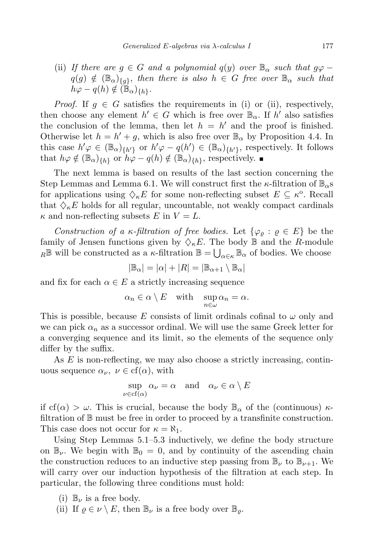(ii) If there are  $g \in G$  and a polynomial  $q(y)$  over  $\mathbb{B}_{\alpha}$  such that  $g\varphi$  $q(g) \notin (\mathbb{B}_{\alpha})_{\{g\}}$ , then there is also  $h \in G$  free over  $\mathbb{B}_{\alpha}$  such that  $h\varphi - q(h) \notin (\mathbb{B}_{\alpha})_{\{h\}}.$ 

*Proof.* If  $g \in G$  satisfies the requirements in (i) or (ii), respectively, then choose any element  $h' \in G$  which is free over  $\mathbb{B}_{\alpha}$ . If  $h'$  also satisfies the conclusion of the lemma, then let  $h = h'$  and the proof is finished. Otherwise let  $h = h' + g$ , which is also free over  $\mathbb{B}_{\alpha}$  by Proposition 4.4. In this case  $h' \varphi \in (\mathbb{B}_{\alpha})_{\{h'\}}$  or  $h' \varphi - q(h') \in (\mathbb{B}_{\alpha})_{\{h'\}}$ , respectively. It follows that  $h\varphi \notin (\mathbb{B}_{\alpha})_{\{h\}}$  or  $h\varphi - q(h) \notin (\mathbb{B}_{\alpha})_{\{h\}}$ , respectively.

The next lemma is based on results of the last section concerning the Step Lemmas and Lemma 6.1. We will construct first the  $\kappa$ -filtration of  $\mathbb{B}_{\alpha}$ s for applications using  $\Diamond_{\kappa} E$  for some non-reflecting subset  $E \subseteq \kappa^{\circ}$ . Recall that  $\Diamond_{\kappa}E$  holds for all regular, uncountable, not weakly compact cardinals  $\kappa$  and non-reflecting subsets E in  $V = L$ .

Construction of a  $\kappa$ -filtration of free bodies. Let  $\{\varphi_{\varrho} : \varrho \in E\}$  be the family of Jensen functions given by  $\Diamond_{\kappa}E$ . The body  $\mathbb{B}$  and the R-module  $R\mathbb{B}$  will be constructed as a  $\kappa$ -filtration  $\mathbb{B} = \bigcup_{\alpha \in \kappa} \mathbb{B}_{\alpha}$  of bodies. We choose

$$
|\mathbb{B}_\alpha|=|\alpha|+|R|=|\mathbb{B}_{\alpha+1}\setminus \mathbb{B}_\alpha|
$$

and fix for each  $\alpha \in E$  a strictly increasing sequence

$$
\alpha_n \in \alpha \setminus E \quad \text{with} \quad \sup_{n \in \omega} \alpha_n = \alpha.
$$

This is possible, because E consists of limit ordinals cofinal to  $\omega$  only and we can pick  $\alpha_n$  as a successor ordinal. We will use the same Greek letter for a converging sequence and its limit, so the elements of the sequence only differ by the suffix.

As E is non-reflecting, we may also choose a strictly increasing, continuous sequence  $\alpha_{\nu}, \nu \in \text{cf}(\alpha)$ , with

$$
\sup_{\nu \in \text{cf}(\alpha)} \alpha_{\nu} = \alpha \quad \text{and} \quad \alpha_{\nu} \in \alpha \setminus E
$$

if cf( $\alpha$ )  $> \omega$ . This is crucial, because the body  $\mathbb{B}_{\alpha}$  of the (continuous)  $\kappa$ filtration of B must be free in order to proceed by a transfinite construction. This case does not occur for  $\kappa = \aleph_1$ .

Using Step Lemmas 5.1–5.3 inductively, we define the body structure on  $\mathbb{B}_{\nu}$ . We begin with  $\mathbb{B}_{0} = 0$ , and by continuity of the ascending chain the construction reduces to an inductive step passing from  $\mathbb{B}_{\nu}$  to  $\mathbb{B}_{\nu+1}$ . We will carry over our induction hypothesis of the filtration at each step. In particular, the following three conditions must hold:

- (i)  $\mathbb{B}_{\nu}$  is a free body.
- (ii) If  $\varrho \in \nu \setminus E$ , then  $\mathbb{B}_{\nu}$  is a free body over  $\mathbb{B}_{\varrho}$ .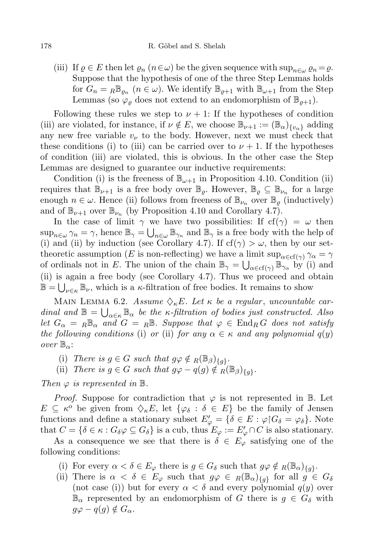(iii) If  $\varrho \in E$  then let  $\varrho_n$   $(n \in \omega)$  be the given sequence with  $\sup_{n \in \omega} \varrho_n = \varrho$ . Suppose that the hypothesis of one of the three Step Lemmas holds for  $G_n = {}_R\mathbb{B}_{\varrho_n}$   $(n \in \omega)$ . We identify  $\mathbb{B}_{\varrho+1}$  with  $\mathbb{B}_{\omega+1}$  from the Step Lemmas (so  $\varphi$  does not extend to an endomorphism of  $\mathbb{B}_{\rho+1}$ ).

Following these rules we step to  $\nu + 1$ : If the hypotheses of condition (iii) are violated, for instance, if  $\nu \notin E$ , we choose  $\mathbb{B}_{\nu+1} := (\mathbb{B}_{\alpha})_{\{\nu_{\alpha}\}}$  adding any new free variable  $v_{\nu}$  to the body. However, next we must check that these conditions (i) to (iii) can be carried over to  $\nu + 1$ . If the hypotheses of condition (iii) are violated, this is obvious. In the other case the Step Lemmas are designed to guarantee our inductive requirements:

Condition (i) is the freeness of  $\mathbb{B}_{\omega+1}$  in Proposition 4.10. Condition (ii) requires that  $\mathbb{B}_{\nu+1}$  is a free body over  $\mathbb{B}_{\varrho}$ . However,  $\mathbb{B}_{\varrho} \subseteq \mathbb{B}_{\nu_n}$  for a large enough  $n \in \omega$ . Hence (ii) follows from freeness of  $\mathbb{B}_{\nu_n}$  over  $\mathbb{B}_{\rho}$  (inductively) and of  $\mathbb{B}_{\nu+1}$  over  $\mathbb{B}_{\nu_n}$  (by Proposition 4.10 and Corollary 4.7).

In the case of limit  $\gamma$  we have two possibilities: If  $cf(\gamma) = \omega$  then  $\sup_{n\in\omega}\gamma_n=\gamma$ , hence  $\mathbb{B}_{\gamma}=\bigcup_{n\in\omega}\mathbb{B}_{\gamma_n}$  and  $\mathbb{B}_{\gamma}$  is a free body with the help of (i) and (ii) by induction (see Corollary 4.7). If  $cf(\gamma) > \omega$ , then by our settheoretic assumption (E is non-reflecting) we have a limit  $\sup_{\alpha \in \text{cf}(\gamma)} \gamma_{\alpha} = \gamma$ of ordinals not in E. The union of the chain  $\mathbb{B}_{\gamma} = \bigcup_{\alpha \in \text{cf}(\gamma)} \mathbb{B}_{\gamma_{\alpha}}$  by (i) and (ii) is again a free body (see Corollary 4.7). Thus we proceed and obtain  $\mathbb{B} = \bigcup_{\nu \in \kappa} \mathbb{B}_{\nu}$ , which is a  $\kappa$ -filtration of free bodies. It remains to show

MAIN LEMMA 6.2. Assume  $\Diamond_{\kappa}E$ . Let  $\kappa$  be a regular, uncountable cardinal and  $\mathbb{B} = \bigcup_{\alpha \in \kappa} \mathbb{B}_{\alpha}$  be the  $\kappa$ -filtration of bodies just constructed. Also let  $G_{\alpha} = R \mathbb{B}_{\alpha}$  and  $G = R \mathbb{B}$ . Suppose that  $\varphi \in \text{End}_{R} G$  does not satisfy the following conditions (i) or (ii) for any  $\alpha \in \kappa$  and any polynomial  $q(y)$ over  $\mathbb{B}_{\alpha}$ :

- (i) There is  $g \in G$  such that  $g\varphi \notin {}_R(\mathbb{B}_{\beta})_{\{g\}}$ .
- (ii) There is  $g \in G$  such that  $g\varphi q(g) \notin R(\mathbb{B}_{\beta})_{\{g\}}$ .

Then  $\varphi$  is represented in  $\mathbb{B}$ .

*Proof.* Suppose for contradiction that  $\varphi$  is not represented in B. Let  $E \subseteq \kappa^{\circ}$  be given from  $\Diamond_{\kappa} E$ , let  $\{\varphi_{\delta} : \delta \in E\}$  be the family of Jensen functions and define a stationary subset  $E'_{\varphi} = \{ \delta \in E : \varphi | G_{\delta} = \varphi_{\delta} \}.$  Note that  $C = \{ \delta \in \kappa : G_{\delta} \varphi \subseteq G_{\delta} \}$  is a cub, thus  $E_{\varphi} := E'_{\varphi} \cap C$  is also stationary.

As a consequence we see that there is  $\delta \in E_{\varphi}$  satisfying one of the following conditions:

- (i) For every  $\alpha < \delta \in E_{\varphi}$  there is  $g \in G_{\delta}$  such that  $g\varphi \notin R(\mathbb{B}_{\alpha})_{\{g\}}$ .
- (ii) There is  $\alpha < \delta \in E_\varphi$  such that  $g\varphi \in R(\mathbb{B}_\alpha)_{\{g\}}$  for all  $g \in G_\delta$ (not case (i)) but for every  $\alpha < \delta$  and every polynomial  $q(y)$  over  $\mathbb{B}_{\alpha}$  represented by an endomorphism of G there is  $g \in G_{\delta}$  with  $q\varphi - q(q) \notin G_{\alpha}$ .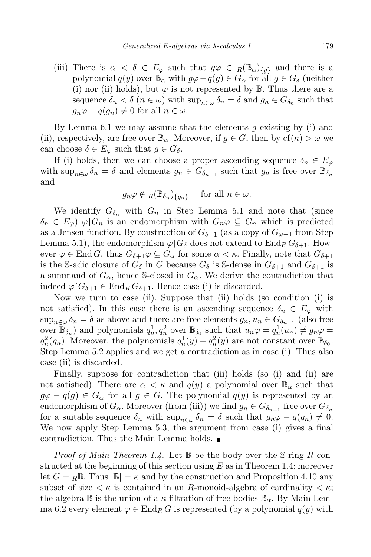(iii) There is  $\alpha < \delta \in E_{\varphi}$  such that  $g\varphi \in R(\mathbb{B}_{\alpha})_{\{q\}}$  and there is a polynomial  $q(y)$  over  $\mathbb{B}_{\alpha}$  with  $g\varphi - q(g) \in G_{\alpha}$  for all  $g \in G_{\delta}$  (neither (i) nor (ii) holds), but  $\varphi$  is not represented by  $\mathbb B$ . Thus there are a sequence  $\delta_n < \delta$  ( $n \in \omega$ ) with  $\sup_{n \in \omega} \delta_n = \delta$  and  $g_n \in G_{\delta_n}$  such that  $g_n\varphi - q(g_n) \neq 0$  for all  $n \in \omega$ .

By Lemma 6.1 we may assume that the elements  $q$  existing by (i) and (ii), respectively, are free over  $\mathbb{B}_{\alpha}$ . Moreover, if  $g \in G$ , then by  $cf(\kappa) > \omega$  we can choose  $\delta \in E_{\varphi}$  such that  $g \in G_{\delta}$ .

If (i) holds, then we can choose a proper ascending sequence  $\delta_n \in E_\varphi$ with  $\sup_{n\in\omega}\delta_n=\delta$  and elements  $g_n\in G_{\delta_{n+1}}$  such that  $g_n$  is free over  $\mathbb{B}_{\delta_n}$ and

$$
g_n \varphi \notin_R(\mathbb{B}_{\delta_n})_{\{g_n\}}
$$
 for all  $n \in \omega$ .

We identify  $G_{\delta_n}$  with  $G_n$  in Step Lemma 5.1 and note that (since  $\delta_n \in E_{\varphi}$ )  $\varphi | G_n$  is an endomorphism with  $G_n \varphi \subseteq G_n$  which is predicted as a Jensen function. By construction of  $G_{\delta+1}$  (as a copy of  $G_{\omega+1}$  from Step Lemma 5.1), the endomorphism  $\varphi \restriction G_\delta$  does not extend to  $\text{End}_R G_{\delta+1}$ . However  $\varphi \in \text{End } G$ , thus  $G_{\delta+1}\varphi \subseteq G_\alpha$  for some  $\alpha < \kappa$ . Finally, note that  $G_{\delta+1}$ is the S-adic closure of  $G_{\delta}$  in G because  $G_{\delta}$  is S-dense in  $G_{\delta+1}$  and  $G_{\delta+1}$  is a summand of  $G_{\alpha}$ , hence S-closed in  $G_{\alpha}$ . We derive the contradiction that indeed  $\varphi | G_{\delta+1} \in \text{End}_R G_{\delta+1}$ . Hence case (i) is discarded.

Now we turn to case (ii). Suppose that (ii) holds (so condition (i) is not satisfied). In this case there is an ascending sequence  $\delta_n \in E_{\varphi}$  with  $\sup_{n\in\omega}\delta_n=\delta$  as above and there are free elements  $g_n,u_n\in G_{\delta_{n+1}}$  (also free over  $\mathbb{B}_{\delta_n}$ ) and polynomials  $q_n^1, q_n^2$  over  $\mathbb{B}_{\delta_0}$  such that  $u_n\varphi = q_n^1(u_n) \neq g_n\varphi =$  $q_n^2(g_n)$ . Moreover, the polynomials  $q_n^1(y) - q_n^2(y)$  are not constant over  $\mathbb{B}_{\delta_0}$ . Step Lemma 5.2 applies and we get a contradiction as in case (i). Thus also case (ii) is discarded.

Finally, suppose for contradiction that (iii) holds (so (i) and (ii) are not satisfied). There are  $\alpha < \kappa$  and  $q(y)$  a polynomial over  $\mathbb{B}_{\alpha}$  such that  $g\varphi - q(g) \in G_\alpha$  for all  $g \in G$ . The polynomial  $q(y)$  is represented by an endomorphism of  $G_{\alpha}$ . Moreover (from (iii)) we find  $g_n \in G_{\delta_{n+1}}$  free over  $G_{\delta_n}$ for a suitable sequence  $\delta_n$  with  $\sup_{n\in\omega}\delta_n=\delta$  such that  $g_n\varphi-q(g_n)\neq 0$ . We now apply Step Lemma 5.3; the argument from case (i) gives a final contradiction. Thus the Main Lemma holds.

*Proof of Main Theorem 1.4.* Let  $\mathbb B$  be the body over the S-ring R constructed at the beginning of this section using  $E$  as in Theorem 1.4; moreover let  $G = {}_{R}\mathbb{B}$ . Thus  $|\mathbb{B}| = \kappa$  and by the construction and Proposition 4.10 any subset of size  $\lt \kappa$  is contained in an R-monoid-algebra of cardinality  $\lt \kappa$ ; the algebra  $\mathbb B$  is the union of a  $\kappa$ -filtration of free bodies  $\mathbb B_\alpha$ . By Main Lemma 6.2 every element  $\varphi \in \text{End}_R G$  is represented (by a polynomial  $q(y)$  with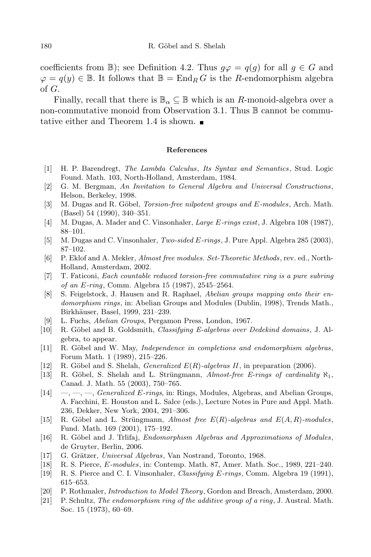coefficients from B); see Definition 4.2. Thus  $g\varphi = q(g)$  for all  $g \in G$  and  $\varphi = q(y) \in \mathbb{B}$ . It follows that  $\mathbb{B} = \text{End}_R G$  is the R-endomorphism algebra of G.

Finally, recall that there is  $\mathbb{B}_{\alpha} \subseteq \mathbb{B}$  which is an R-monoid-algebra over a non-commutative monoid from Observation 3.1. Thus  $\mathbb B$  cannot be commutative either and Theorem 1.4 is shown.

#### References

- [1] H. P. Barendregt, The Lambda Calculus, Its Syntax and Semantics, Stud. Logic Found. Math. 103, North-Holland, Amsterdam, 1984.
- [2] G. M. Bergman, An Invitation to General Algebra and Universal Constructions, Helson, Berkeley, 1998.
- [3] M. Dugas and R. Göbel, *Torsion-free nilpotent groups and E-modules*, Arch. Math. (Basel) 54 (1990), 340–351.
- [4] M. Dugas, A. Mader and C. Vinsonhaler, *Large E-rings exist*, J. Algebra 108 (1987), 88–101.
- [5] M. Dugas and C. Vinsonhaler, Two-sided E-rings, J. Pure Appl. Algebra 285 (2003), 87–102.
- [6] P. Eklof and A. Mekler, Almost free modules. Set-Theoretic Methods, rev. ed., North-Holland, Amsterdam, 2002.
- [7] T. Faticoni, Each countable reduced torsion-free commutative ring is a pure subring of an E-ring, Comm. Algebra 15 (1987), 2545–2564.
- [8] S. Feigelstock, J. Hausen and R. Raphael, Abelian groups mapping onto their endomorphism rings, in: Abelian Groups and Modules (Dublin, 1998), Trends Math., Birkhäuser, Basel, 1999, 231-239.
- [9] L. Fuchs, Abelian Groups, Pergamon Press, London, 1967.
- [10] R. Göbel and B. Goldsmith, *Classifying E-algebras over Dedekind domains*, J. Algebra, to appear.
- [11] R. Göbel and W. May, *Independence in completions and endomorphism algebras*, Forum Math. 1 (1989), 215–226.
- [12] R. Göbel and S. Shelah, *Generalized*  $E(R)$ -algebras II, in preparation (2006).
- [13] R. Göbel, S. Shelah and L. Strüngmann, Almost-free E-rings of cardinality  $\aleph_1$ , Canad. J. Math. 55 (2003), 750–765.
- [14]  $\quad, \_\_$ ,  $\_\_$  Generalized E-rings, in: Rings, Modules, Algebras, and Abelian Groups, A. Facchini, E. Houston and L. Salce (eds.), Lecture Notes in Pure and Appl. Math. 236, Dekker, New York, 2004, 291–306.
- [15] R. Göbel and L. Strüngmann, Almost free  $E(R)$ -algebras and  $E(A, R)$ -modules, Fund. Math. 169 (2001), 175–192.
- [16] R. Göbel and J. Trlifaj, *Endomorphism Algebras and Approximations of Modules*, de Gruyter, Berlin, 2006.
- [17] G. Grätzer, Universal Algebras, Van Nostrand, Toronto, 1968.
- [18] R. S. Pierce, E-modules, in: Contemp. Math. 87, Amer. Math. Soc., 1989, 221–240.
- [19] R. S. Pierce and C. I. Vinsonhaler, Classifying E-rings, Comm. Algebra 19 (1991), 615–653.
- [20] P. Rothmaler, Introduction to Model Theory, Gordon and Breach, Amsterdam, 2000.
- [21] P. Schultz, The endomorphism ring of the additive group of a ring, J. Austral. Math. Soc. 15 (1973), 60–69.